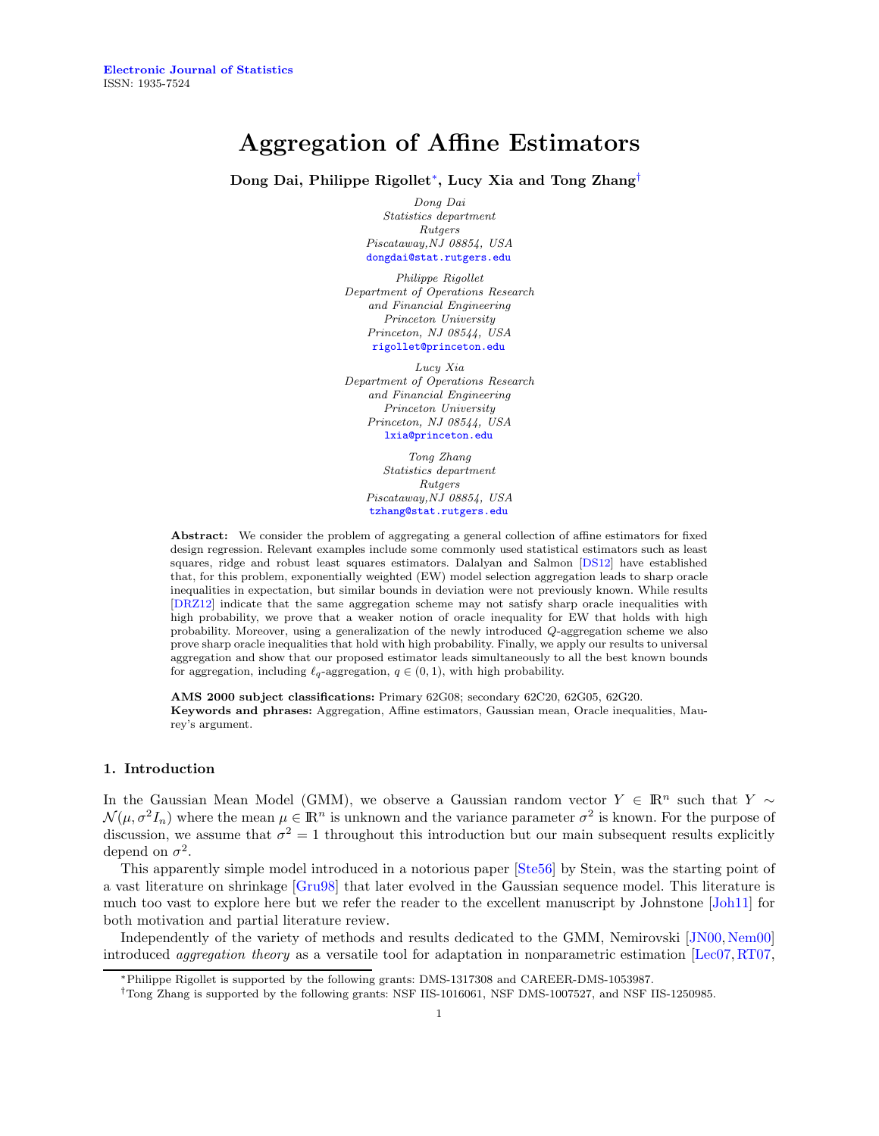# Aggregation of Affine Estimators

Dong Dai, Philippe Rigollet[∗](#page-0-0) , Lucy Xia and Tong Zhang[†](#page-0-1)

Dong Dai Statistics department Rutgers Piscataway,NJ 08854, USA [dongdai@stat.rutgers.edu](mailto:dongdai@stat.rutgers.edu)

Philippe Rigollet Department of Operations Research and Financial Engineering Princeton University Princeton, NJ 08544, USA [rigollet@princeton.edu](mailto:rigollet@princeton.edu)

Lucy Xia Department of Operations Research and Financial Engineering Princeton University Princeton, NJ 08544, USA [lxia@princeton.edu](mailto:lxia@princeton.edu)

> Tong Zhang Statistics department Rutgers Piscataway,NJ 08854, USA [tzhang@stat.rutgers.edu](mailto:tzhang@stat.rutgers.edu)

Abstract: We consider the problem of aggregating a general collection of affine estimators for fixed design regression. Relevant examples include some commonly used statistical estimators such as least squares, ridge and robust least squares estimators. Dalalyan and Salmon [\[DS12\]](#page-17-0) have established that, for this problem, exponentially weighted (EW) model selection aggregation leads to sharp oracle inequalities in expectation, but similar bounds in deviation were not previously known. While results [\[DRZ12\]](#page-17-1) indicate that the same aggregation scheme may not satisfy sharp oracle inequalities with high probability, we prove that a weaker notion of oracle inequality for EW that holds with high probability. Moreover, using a generalization of the newly introduced Q-aggregation scheme we also prove sharp oracle inequalities that hold with high probability. Finally, we apply our results to universal aggregation and show that our proposed estimator leads simultaneously to all the best known bounds for aggregation, including  $\ell_q$ -aggregation,  $q \in (0, 1)$ , with high probability.

AMS 2000 subject classifications: Primary 62G08; secondary 62C20, 62G05, 62G20. Keywords and phrases: Aggregation, Affine estimators, Gaussian mean, Oracle inequalities, Maurey's argument.

#### 1. Introduction

In the Gaussian Mean Model (GMM), we observe a Gaussian random vector  $Y \in \mathbb{R}^n$  such that Y ∼  $\mathcal{N}(\mu, \sigma^2 I_n)$  where the mean  $\mu \in \mathbb{R}^n$  is unknown and the variance parameter  $\sigma^2$  is known. For the purpose of discussion, we assume that  $\sigma^2 = 1$  throughout this introduction but our main subsequent results explicitly depend on  $\sigma^2$ .

This apparently simple model introduced in a notorious paper [\[Ste56\]](#page-18-0) by Stein, was the starting point of a vast literature on shrinkage [\[Gru98\]](#page-17-2) that later evolved in the Gaussian sequence model. This literature is much too vast to explore here but we refer the reader to the excellent manuscript by Johnstone [\[Joh11\]](#page-17-3) for both motivation and partial literature review.

Independently of the variety of methods and results dedicated to the GMM, Nemirovski [\[JN00,](#page-17-4) [Nem00\]](#page-18-1) introduced *aggregation theory* as a versatile tool for adaptation in nonparametric estimation  $[Leo7, RT07]$ ,

<span id="page-0-0"></span><sup>∗</sup>Philippe Rigollet is supported by the following grants: DMS-1317308 and CAREER-DMS-1053987.

<span id="page-0-1"></span><sup>†</sup>Tong Zhang is supported by the following grants: NSF IIS-1016061, NSF DMS-1007527, and NSF IIS-1250985.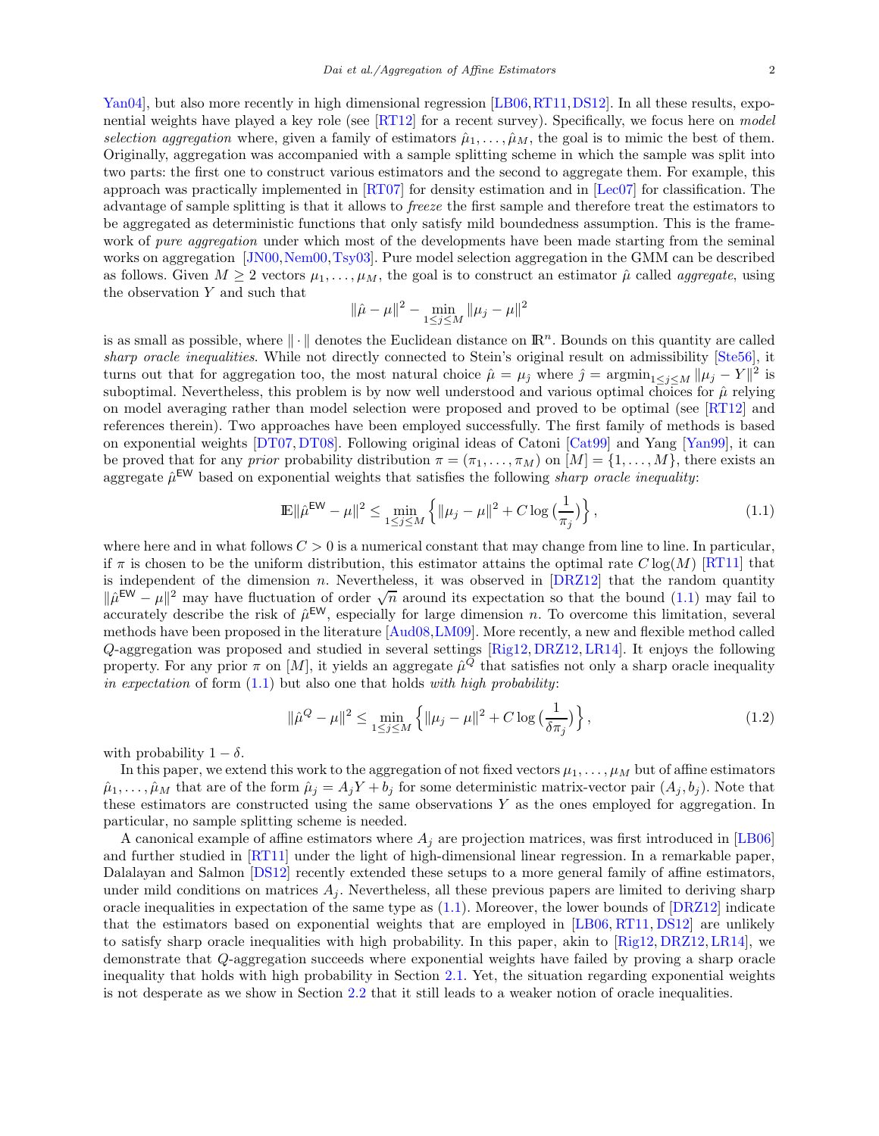[Yan04\]](#page-18-3), but also more recently in high dimensional regression [\[LB06,](#page-17-6) [RT11,](#page-18-4) [DS12\]](#page-17-0). In all these results, exponential weights have played a key role (see [\[RT12\]](#page-18-5) for a recent survey). Specifically, we focus here on model selection aggregation where, given a family of estimators  $\hat{\mu}_1, \dots, \hat{\mu}_M$ , the goal is to mimic the best of them. Originally, aggregation was accompanied with a sample splitting scheme in which the sample was split into two parts: the first one to construct various estimators and the second to aggregate them. For example, this approach was practically implemented in [\[RT07\]](#page-18-2) for density estimation and in [\[Lec07\]](#page-17-5) for classification. The advantage of sample splitting is that it allows to freeze the first sample and therefore treat the estimators to be aggregated as deterministic functions that only satisfy mild boundedness assumption. This is the framework of *pure aggregation* under which most of the developments have been made starting from the seminal works on aggregation [\[JN00,](#page-17-4)[Nem00,](#page-18-1)[Tsy03\]](#page-18-6). Pure model selection aggregation in the GMM can be described as follows. Given  $M \ge 2$  vectors  $\mu_1, \ldots, \mu_M$ , the goal is to construct an estimator  $\hat{\mu}$  called *aggregate*, using the observation  $Y$  and such that

$$
\|\hat{\mu} - \mu\|^2 - \min_{1 \le j \le M} \|\mu_j - \mu\|^2
$$

is as small as possible, where  $\|\cdot\|$  denotes the Euclidean distance on  $\mathbb{R}^n$ . Bounds on this quantity are called sharp oracle inequalities. While not directly connected to Stein's original result on admissibility [\[Ste56\]](#page-18-0), it turns out that for aggregation too, the most natural choice  $\hat{\mu} = \mu_{\hat{\jmath}}$  where  $\hat{\jmath} = \operatorname{argmin}_{1 \leq j \leq M} ||\mu_j - Y||^2$  is suboptimal. Nevertheless, this problem is by now well understood and various optimal choices for  $\hat{\mu}$  relying on model averaging rather than model selection were proposed and proved to be optimal (see [\[RT12\]](#page-18-5) and references therein). Two approaches have been employed successfully. The first family of methods is based on exponential weights [\[DT07,](#page-17-7) [DT08\]](#page-17-8). Following original ideas of Catoni [\[Cat99\]](#page-17-9) and Yang [\[Yan99\]](#page-18-7), it can be proved that for any *prior* probability distribution  $\pi = (\pi_1, \ldots, \pi_M)$  on  $[M] = \{1, \ldots, M\}$ , there exists an aggregate  $\hat{\mu}^{\text{EW}}$  based on exponential weights that satisfies the following *sharp oracle inequality*:

<span id="page-1-0"></span>
$$
\mathbb{E} \|\hat{\mu}^{\text{EW}} - \mu\|^2 \le \min_{1 \le j \le M} \left\{ \|\mu_j - \mu\|^2 + C \log\left(\frac{1}{\pi_j}\right) \right\},\tag{1.1}
$$

where here and in what follows  $C > 0$  is a numerical constant that may change from line to line. In particular, if  $\pi$  is chosen to be the uniform distribution, this estimator attains the optimal rate  $C \log(M)$  [\[RT11\]](#page-18-4) that is independent of the dimension n. Nevertheless, it was observed in  $[DRZ12]$  that the random quantity  $\|\hat{\mu}^{EW} - \mu\|^2$  may have fluctuation of order  $\sqrt{n}$  around its expectation so that the bound [\(1.1\)](#page-1-0) may fail to accurately describe the risk of  $\hat{\mu}^{\text{EW}}$ , especially for large dimension n. To overcome this limitation, several methods have been proposed in the literature [\[Aud08,](#page-17-10)[LM09\]](#page-17-11). More recently, a new and flexible method called Q-aggregation was proposed and studied in several settings [\[Rig12,](#page-18-8) [DRZ12,](#page-17-1) [LR14\]](#page-18-9). It enjoys the following property. For any prior  $\pi$  on  $[M]$ , it yields an aggregate  $\hat{\mu}^Q$  that satisfies not only a sharp oracle inequality in expectation of form  $(1.1)$  but also one that holds with high probability:

<span id="page-1-1"></span>
$$
\|\hat{\mu}^{Q} - \mu\|^{2} \le \min_{1 \le j \le M} \left\{ \|\mu_{j} - \mu\|^{2} + C \log\left(\frac{1}{\delta \pi_{j}}\right) \right\},\tag{1.2}
$$

with probability  $1 - \delta$ .

In this paper, we extend this work to the aggregation of not fixed vectors  $\mu_1, \ldots, \mu_M$  but of affine estimators  $\hat{\mu}_1, \ldots, \hat{\mu}_M$  that are of the form  $\hat{\mu}_j = A_j Y + b_j$  for some deterministic matrix-vector pair  $(A_j, b_j)$ . Note that these estimators are constructed using the same observations Y as the ones employed for aggregation. In particular, no sample splitting scheme is needed.

A canonical example of affine estimators where  $A_i$  are projection matrices, was first introduced in [\[LB06\]](#page-17-6) and further studied in [\[RT11\]](#page-18-4) under the light of high-dimensional linear regression. In a remarkable paper, Dalalayan and Salmon [\[DS12\]](#page-17-0) recently extended these setups to a more general family of affine estimators, under mild conditions on matrices  $A_j$ . Nevertheless, all these previous papers are limited to deriving sharp oracle inequalities in expectation of the same type as  $(1.1)$ . Moreover, the lower bounds of  $[DRZ12]$  indicate that the estimators based on exponential weights that are employed in [\[LB06,](#page-17-6) [RT11,](#page-18-4) [DS12\]](#page-17-0) are unlikely to satisfy sharp oracle inequalities with high probability. In this paper, akin to [\[Rig12,](#page-18-8) [DRZ12,](#page-17-1) [LR14\]](#page-18-9), we demonstrate that Q-aggregation succeeds where exponential weights have failed by proving a sharp oracle inequality that holds with high probability in Section [2.1.](#page-3-0) Yet, the situation regarding exponential weights is not desperate as we show in Section [2.2](#page-4-0) that it still leads to a weaker notion of oracle inequalities.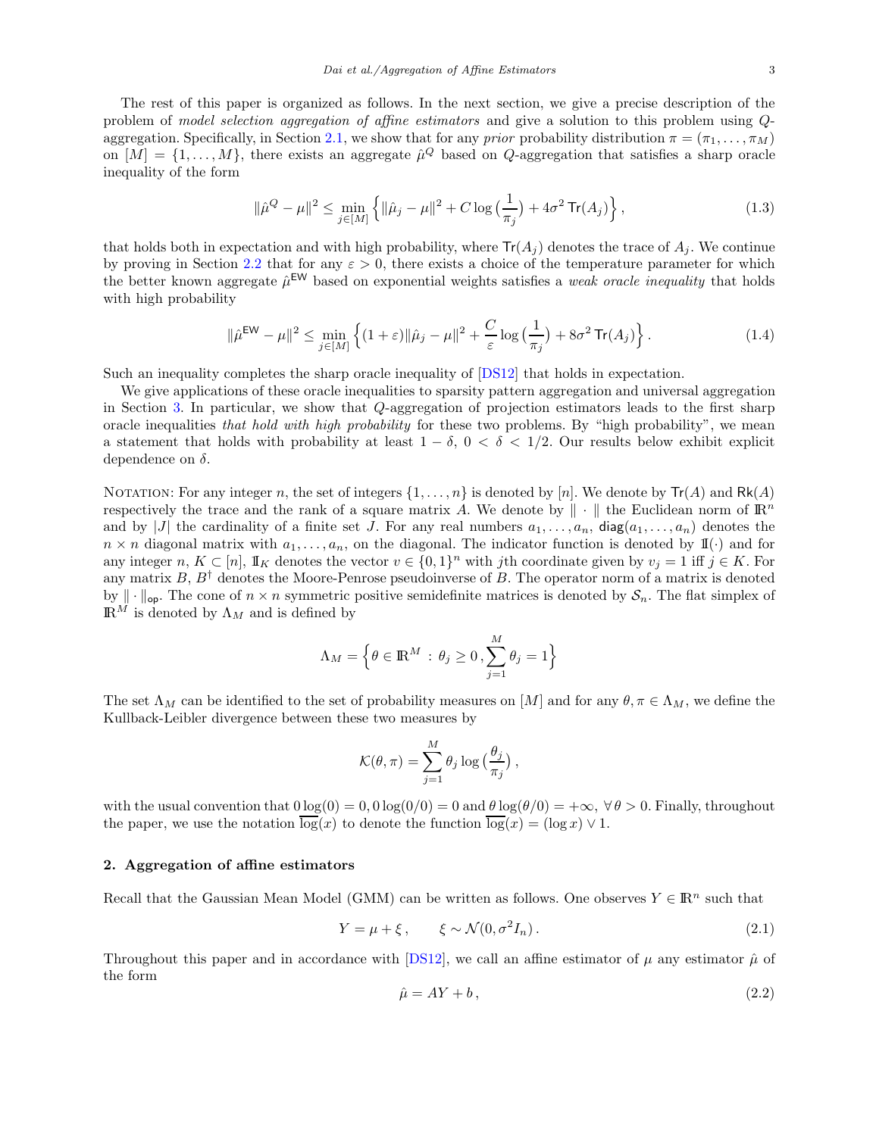The rest of this paper is organized as follows. In the next section, we give a precise description of the problem of model selection aggregation of affine estimators and give a solution to this problem using Q-aggregation. Specifically, in Section [2.1,](#page-3-0) we show that for any *prior* probability distribution  $\pi = (\pi_1, \ldots, \pi_M)$ on  $[M] = \{1, \ldots, M\}$ , there exists an aggregate  $\hat{\mu}^Q$  based on Q-aggregation that satisfies a sharp oracle inequality of the form

$$
\|\hat{\mu}^{Q} - \mu\|^{2} \le \min_{j \in [M]} \left\{ \|\hat{\mu}_{j} - \mu\|^{2} + C \log\left(\frac{1}{\pi_{j}}\right) + 4\sigma^{2} \operatorname{Tr}(A_{j}) \right\},\tag{1.3}
$$

that holds both in expectation and with high probability, where  $Tr(A_i)$  denotes the trace of  $A_i$ . We continue by proving in Section [2.2](#page-4-0) that for any  $\varepsilon > 0$ , there exists a choice of the temperature parameter for which the better known aggregate  $\hat{\mu}^{\text{EW}}$  based on exponential weights satisfies a *weak oracle inequality* that holds with high probability

$$
\|\hat{\mu}^{\text{EW}} - \mu\|^2 \le \min_{j \in [M]} \left\{ (1+\varepsilon) \|\hat{\mu}_j - \mu\|^2 + \frac{C}{\varepsilon} \log \left( \frac{1}{\pi_j} \right) + 8\sigma^2 \operatorname{Tr}(A_j) \right\}.
$$
 (1.4)

Such an inequality completes the sharp oracle inequality of [\[DS12\]](#page-17-0) that holds in expectation.

We give applications of these oracle inequalities to sparsity pattern aggregation and universal aggregation in Section [3.](#page-5-0) In particular, we show that Q-aggregation of projection estimators leads to the first sharp oracle inequalities that hold with high probability for these two problems. By "high probability", we mean a statement that holds with probability at least  $1 - \delta$ ,  $0 < \delta < 1/2$ . Our results below exhibit explicit dependence on  $\delta$ .

NOTATION: For any integer n, the set of integers  $\{1, \ldots, n\}$  is denoted by  $[n]$ . We denote by  $Tr(A)$  and  $Rk(A)$ respectively the trace and the rank of a square matrix A. We denote by  $\|\cdot\|$  the Euclidean norm of  $\mathbb{R}^n$ and by  $|J|$  the cardinality of a finite set J. For any real numbers  $a_1, \ldots, a_n$ , diag $(a_1, \ldots, a_n)$  denotes the  $n \times n$  diagonal matrix with  $a_1, \ldots, a_n$ , on the diagonal. The indicator function is denoted by  $\mathbb{I}(\cdot)$  and for any integer  $n, K \subset [n]$ ,  $\mathbb{I}_K$  denotes the vector  $v \in \{0,1\}^n$  with jth coordinate given by  $v_j = 1$  iff  $j \in K$ . For any matrix  $B, B^{\dagger}$  denotes the Moore-Penrose pseudoinverse of B. The operator norm of a matrix is denoted by  $\|\cdot\|_{\text{op}}$ . The cone of  $n \times n$  symmetric positive semidefinite matrices is denoted by  $\mathcal{S}_n$ . The flat simplex of  $\mathbb{R}^M$  is denoted by  $\Lambda_M$  and is defined by

$$
\Lambda_M = \Big\{\theta \in {\rm I\!R}^M \,:\, \theta_j \geq 0\,, \sum_{j=1}^M \theta_j = 1\Big\}
$$

The set  $\Lambda_M$  can be identified to the set of probability measures on [M] and for any  $\theta, \pi \in \Lambda_M$ , we define the Kullback-Leibler divergence between these two measures by

$$
\mathcal{K}(\theta, \pi) = \sum_{j=1}^{M} \theta_j \log \left( \frac{\theta_j}{\pi_j} \right),
$$

with the usual convention that  $0 \log(0) = 0$ ,  $0 \log(0/0) = 0$  and  $\theta \log(\theta/0) = +\infty$ ,  $\forall \theta > 0$ . Finally, throughout the paper, we use the notation  $\overline{\log}(x)$  to denote the function  $\overline{\log}(x) = (\log x) \vee 1$ .

#### 2. Aggregation of affine estimators

Recall that the Gaussian Mean Model (GMM) can be written as follows. One observes  $Y \in \mathbb{R}^n$  such that

<span id="page-2-0"></span>
$$
Y = \mu + \xi, \qquad \xi \sim \mathcal{N}(0, \sigma^2 I_n). \tag{2.1}
$$

Throughout this paper and in accordance with [\[DS12\]](#page-17-0), we call an affine estimator of  $\mu$  any estimator  $\hat{\mu}$  of the form

$$
\hat{\mu} = AY + b,\tag{2.2}
$$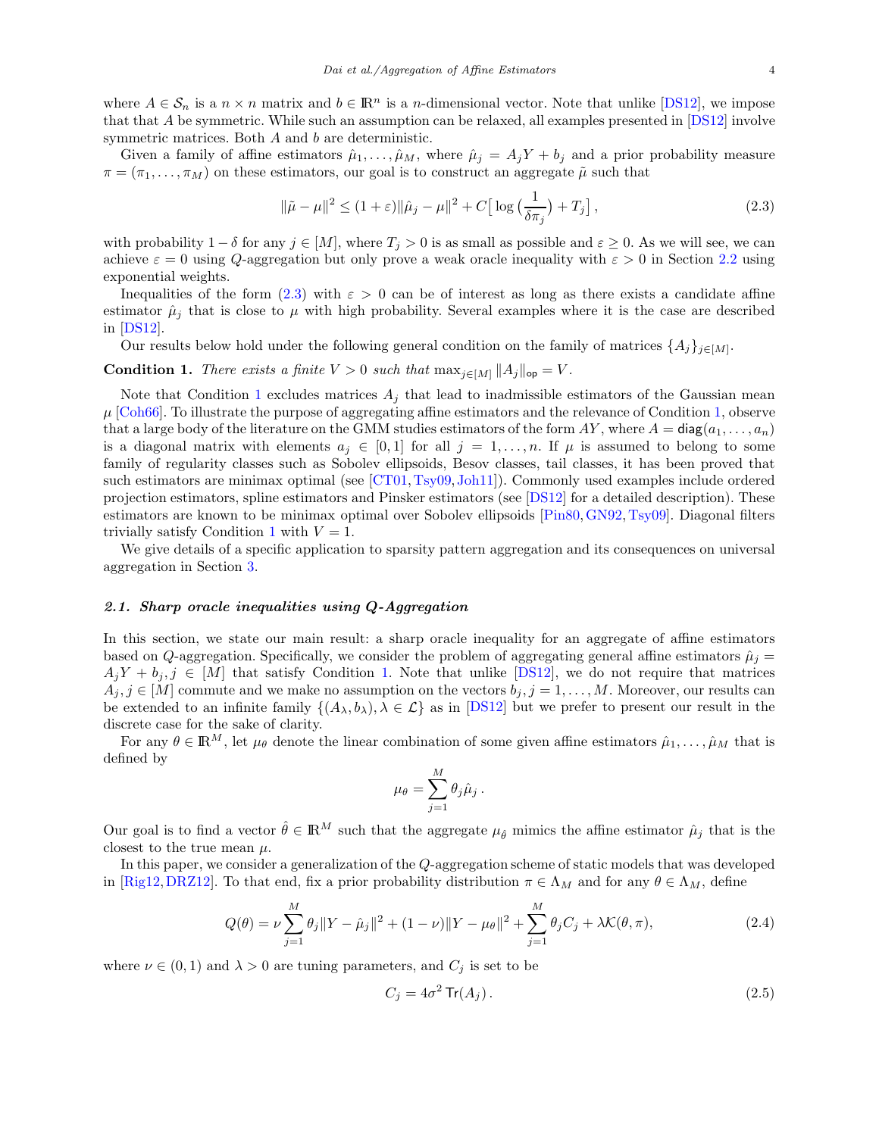where  $A \in \mathcal{S}_n$  is a  $n \times n$  matrix and  $b \in \mathbb{R}^n$  is a *n*-dimensional vector. Note that unlike [\[DS12\]](#page-17-0), we impose that that A be symmetric. While such an assumption can be relaxed, all examples presented in [\[DS12\]](#page-17-0) involve symmetric matrices. Both A and b are deterministic.

Given a family of affine estimators  $\hat{\mu}_1, \dots, \hat{\mu}_M$ , where  $\hat{\mu}_j = A_j Y + b_j$  and a prior probability measure  $\pi = (\pi_1, \ldots, \pi_M)$  on these estimators, our goal is to construct an aggregate  $\tilde{\mu}$  such that

<span id="page-3-1"></span>
$$
\|\tilde{\mu} - \mu\|^2 \le (1 + \varepsilon) \|\hat{\mu}_j - \mu\|^2 + C \Big[ \log \big(\frac{1}{\delta \pi_j}\big) + T_j \Big],\tag{2.3}
$$

with probability  $1 - \delta$  for any  $j \in [M]$ , where  $T_j > 0$  is as small as possible and  $\varepsilon \geq 0$ . As we will see, we can achieve  $\varepsilon = 0$  using Q-aggregation but only prove a weak oracle inequality with  $\varepsilon > 0$  in Section [2.2](#page-4-0) using exponential weights.

Inequalities of the form [\(2.3\)](#page-3-1) with  $\varepsilon > 0$  can be of interest as long as there exists a candidate affine estimator  $\hat{\mu}_i$  that is close to  $\mu$  with high probability. Several examples where it is the case are described in [\[DS12\]](#page-17-0).

Our results below hold under the following general condition on the family of matrices  $\{A_j\}_{j\in[M]}$ .

<span id="page-3-2"></span>**Condition 1.** There exists a finite  $V > 0$  such that  $\max_{j \in [M]} ||A_j||_{op} = V$ .

Note that Condition [1](#page-3-2) excludes matrices  $A_j$  that lead to inadmissible estimators of the Gaussian mean  $\mu$  [\[Coh66\]](#page-17-12). To illustrate the purpose of aggregating affine estimators and the relevance of Condition [1,](#page-3-2) observe that a large body of the literature on the GMM studies estimators of the form  $AY$ , where  $A = \text{diag}(a_1, \ldots, a_n)$ is a diagonal matrix with elements  $a_j \in [0,1]$  for all  $j = 1, \ldots, n$ . If  $\mu$  is assumed to belong to some family of regularity classes such as Sobolev ellipsoids, Besov classes, tail classes, it has been proved that such estimators are minimax optimal (see [\[CT01,](#page-17-13) [Tsy09,](#page-18-10) [Joh11\]](#page-17-3)). Commonly used examples include ordered projection estimators, spline estimators and Pinsker estimators (see [\[DS12\]](#page-17-0) for a detailed description). These estimators are known to be minimax optimal over Sobolev ellipsoids [\[Pin80,](#page-18-11)[GN92,](#page-17-14) [Tsy09\]](#page-18-10). Diagonal filters trivially satisfy Condition [1](#page-3-2) with  $V = 1$ .

We give details of a specific application to sparsity pattern aggregation and its consequences on universal aggregation in Section [3.](#page-5-0)

#### <span id="page-3-0"></span>2.1. Sharp oracle inequalities using Q-Aggregation

In this section, we state our main result: a sharp oracle inequality for an aggregate of affine estimators based on Q-aggregation. Specifically, we consider the problem of aggregating general affine estimators  $\hat{\mu}_i$  =  $A_jY + b_j, j \in [M]$  that satisfy Condition [1.](#page-3-2) Note that unlike [\[DS12\]](#page-17-0), we do not require that matrices  $A_j, j \in [M]$  commute and we make no assumption on the vectors  $b_j, j = 1, \ldots, M$ . Moreover, our results can be extended to an infinite family  $\{(A_{\lambda},b_{\lambda}), \lambda \in \mathcal{L}\}\$ as in [\[DS12\]](#page-17-0) but we prefer to present our result in the discrete case for the sake of clarity.

For any  $\theta \in \mathbb{R}^M$ , let  $\mu_\theta$  denote the linear combination of some given affine estimators  $\hat{\mu}_1, \ldots, \hat{\mu}_M$  that is defined by

$$
\mu_{\theta} = \sum_{j=1}^{M} \theta_j \hat{\mu}_j.
$$

Our goal is to find a vector  $\hat{\theta} \in \mathbb{R}^M$  such that the aggregate  $\mu_{\hat{\theta}}$  mimics the affine estimator  $\hat{\mu}_j$  that is the closest to the true mean  $\mu$ .

In this paper, we consider a generalization of the Q-aggregation scheme of static models that was developed in [\[Rig12,](#page-18-8)[DRZ12\]](#page-17-1). To that end, fix a prior probability distribution  $\pi \in \Lambda_M$  and for any  $\theta \in \Lambda_M$ , define

<span id="page-3-4"></span>
$$
Q(\theta) = \nu \sum_{j=1}^{M} \theta_j \|Y - \hat{\mu}_j\|^2 + (1 - \nu) \|Y - \mu_{\theta}\|^2 + \sum_{j=1}^{M} \theta_j C_j + \lambda \mathcal{K}(\theta, \pi),
$$
\n(2.4)

where  $\nu \in (0,1)$  and  $\lambda > 0$  are tuning parameters, and  $C_j$  is set to be

<span id="page-3-3"></span>
$$
C_j = 4\sigma^2 \operatorname{Tr}(A_j). \tag{2.5}
$$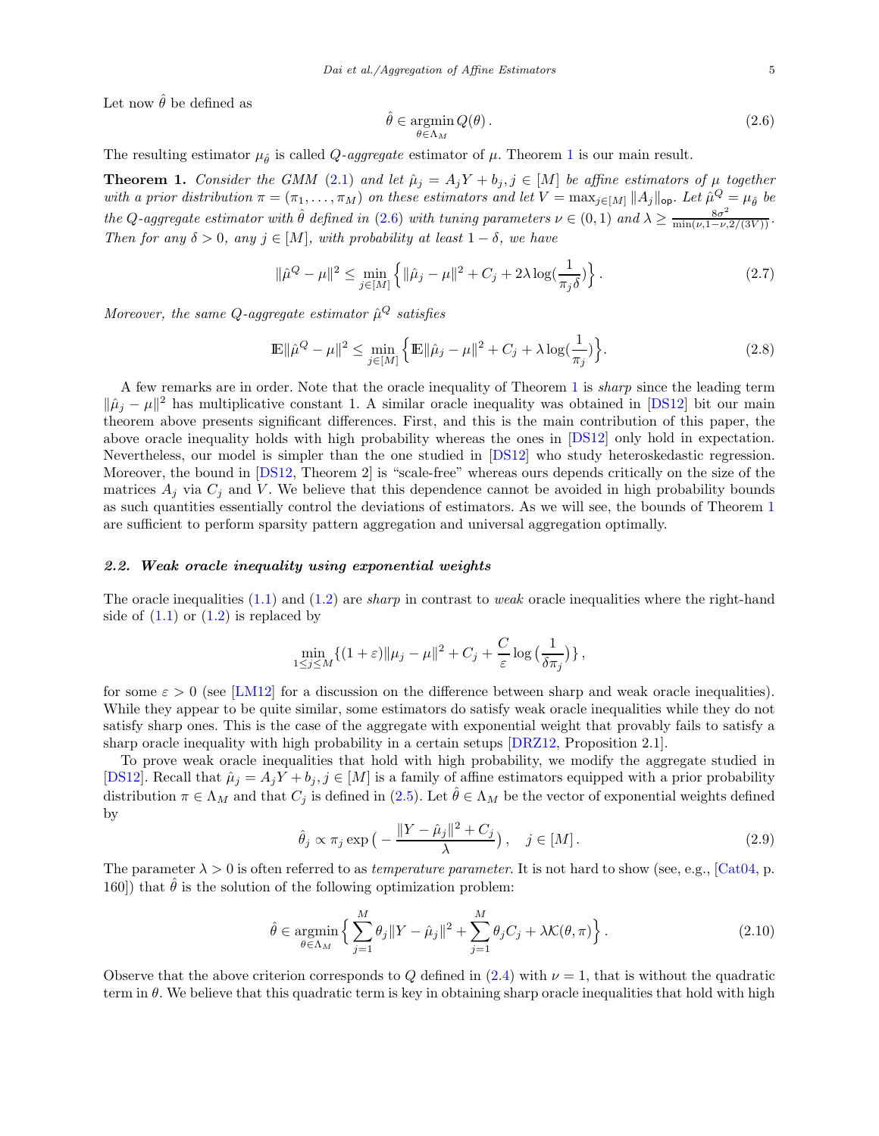Let now  $\hat{\theta}$  be defined as

<span id="page-4-2"></span>
$$
\hat{\theta} \in \underset{\theta \in \Lambda_M}{\operatorname{argmin}} Q(\theta). \tag{2.6}
$$

The resulting estimator  $\mu_{\hat{\theta}}$  is called Q-aggregate estimator of  $\mu$ . Theorem [1](#page-4-1) is our main result.

<span id="page-4-1"></span>**Theorem 1.** Consider the GMM [\(2.1\)](#page-2-0) and let  $\hat{\mu}_j = A_j Y + b_j$ ,  $j \in [M]$  be affine estimators of  $\mu$  together with a prior distribution  $\pi = (\pi_1, \ldots, \pi_M)$  on these estimators and let  $V = \max_{j \in [M]} ||A_j||_{op}$ . Let  $\hat{\mu}^Q = \mu_{\hat{\theta}}$  be the Q-aggregate estimator with  $\hat{\theta}$  defined in [\(2.6\)](#page-4-2) with tuning parameters  $\nu \in (0,1)$  and  $\lambda \ge \frac{8\sigma^2}{\min(\nu,1-\nu,2/(3V))}$ . Then for any  $\delta > 0$ , any  $j \in [M]$ , with probability at least  $1 - \delta$ , we have

<span id="page-4-5"></span>
$$
\|\hat{\mu}^{Q} - \mu\|^{2} \le \min_{j \in [M]} \left\{ \|\hat{\mu}_{j} - \mu\|^{2} + C_{j} + 2\lambda \log(\frac{1}{\pi_{j}\delta}) \right\}.
$$
\n(2.7)

Moreover, the same Q-aggregate estimator  $\hat{\mu}^{Q}$  satisfies

<span id="page-4-4"></span>
$$
\mathbb{E} \|\hat{\mu}^{Q} - \mu\|^{2} \le \min_{j \in [M]} \left\{ \mathbb{E} \|\hat{\mu}_{j} - \mu\|^{2} + C_{j} + \lambda \log(\frac{1}{\pi_{j}}) \right\}.
$$
\n(2.8)

A few remarks are in order. Note that the oracle inequality of Theorem [1](#page-4-1) is sharp since the leading term  $\|\hat{\mu}_j - \mu\|^2$  has multiplicative constant 1. A similar oracle inequality was obtained in [\[DS12\]](#page-17-0) bit our main theorem above presents significant differences. First, and this is the main contribution of this paper, the above oracle inequality holds with high probability whereas the ones in [\[DS12\]](#page-17-0) only hold in expectation. Nevertheless, our model is simpler than the one studied in [\[DS12\]](#page-17-0) who study heteroskedastic regression. Moreover, the bound in [\[DS12,](#page-17-0) Theorem 2] is "scale-free" whereas ours depends critically on the size of the matrices  $A_j$  via  $C_j$  and V. We believe that this dependence cannot be avoided in high probability bounds as such quantities essentially control the deviations of estimators. As we will see, the bounds of Theorem [1](#page-4-1) are sufficient to perform sparsity pattern aggregation and universal aggregation optimally.

#### <span id="page-4-0"></span>2.2. Weak oracle inequality using exponential weights

The oracle inequalities  $(1.1)$  and  $(1.2)$  are *sharp* in contrast to *weak* oracle inequalities where the right-hand side of  $(1.1)$  or  $(1.2)$  is replaced by

$$
\min_{1 \le j \le M} \{ (1+\varepsilon) ||\mu_j - \mu||^2 + C_j + \frac{C}{\varepsilon} \log \left( \frac{1}{\delta \pi_j} \right) \},
$$

for some  $\varepsilon > 0$  (see [\[LM12\]](#page-17-15) for a discussion on the difference between sharp and weak oracle inequalities). While they appear to be quite similar, some estimators do satisfy weak oracle inequalities while they do not satisfy sharp ones. This is the case of the aggregate with exponential weight that provably fails to satisfy a sharp oracle inequality with high probability in a certain setups [\[DRZ12,](#page-17-1) Proposition 2.1].

To prove weak oracle inequalities that hold with high probability, we modify the aggregate studied in [\[DS12\]](#page-17-0). Recall that  $\hat{\mu}_j = A_j Y + b_j, j \in [M]$  is a family of affine estimators equipped with a prior probability distribution  $\pi \in \Lambda_M$  and that  $C_j$  is defined in [\(2.5\)](#page-3-3). Let  $\hat{\theta} \in \Lambda_M$  be the vector of exponential weights defined by

<span id="page-4-3"></span>
$$
\hat{\theta}_j \propto \pi_j \exp\left(-\frac{\|Y - \hat{\mu}_j\|^2 + C_j}{\lambda}\right), \quad j \in [M].
$$
\n(2.9)

The parameter  $\lambda > 0$  is often referred to as *temperature parameter*. It is not hard to show (see, e.g., [\[Cat04,](#page-17-16) p. 160) that  $\hat{\theta}$  is the solution of the following optimization problem:

$$
\hat{\theta} \in \underset{\theta \in \Lambda_M}{\text{argmin}} \left\{ \sum_{j=1}^M \theta_j \|Y - \hat{\mu}_j\|^2 + \sum_{j=1}^M \theta_j C_j + \lambda \mathcal{K}(\theta, \pi) \right\}.
$$
\n(2.10)

Observe that the above criterion corresponds to Q defined in [\(2.4\)](#page-3-4) with  $\nu = 1$ , that is without the quadratic term in  $\theta$ . We believe that this quadratic term is key in obtaining sharp oracle inequalities that hold with high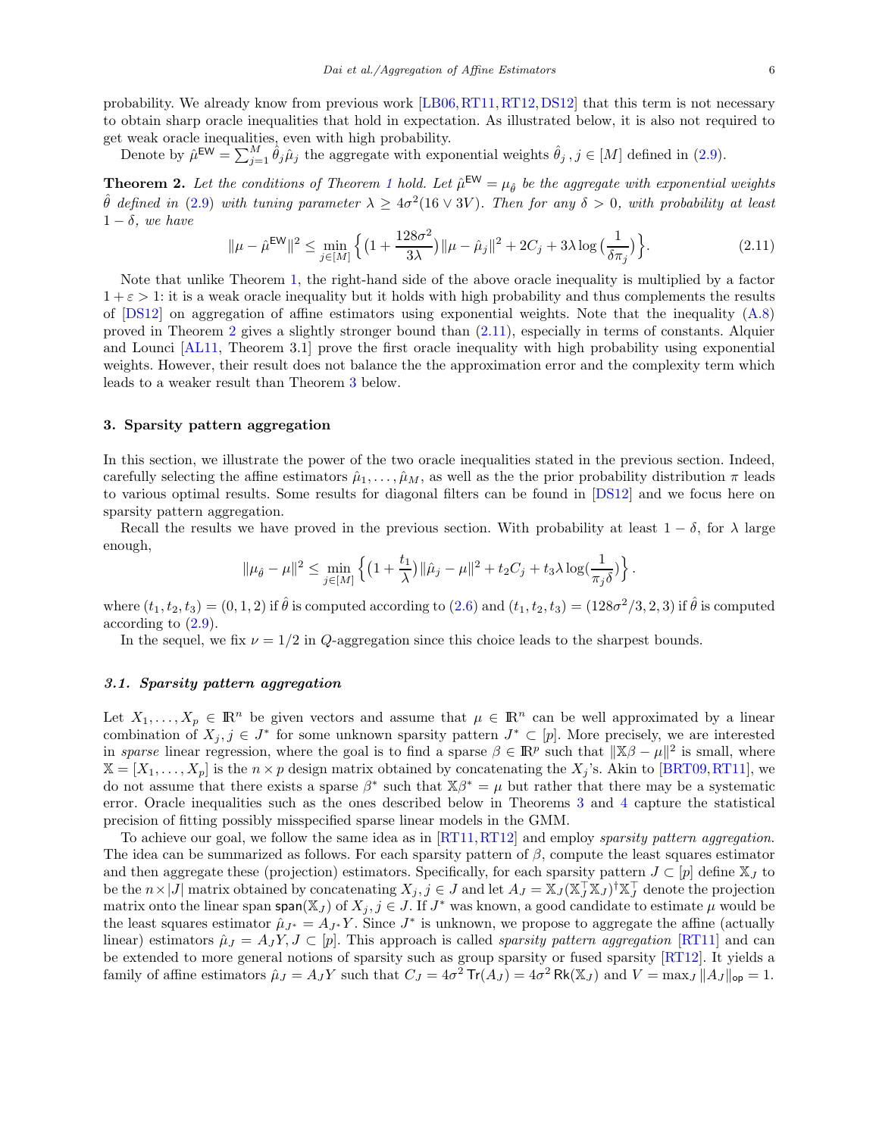probability. We already know from previous work [\[LB06,](#page-17-6)[RT11,](#page-18-4)[RT12,](#page-18-5)[DS12\]](#page-17-0) that this term is not necessary to obtain sharp oracle inequalities that hold in expectation. As illustrated below, it is also not required to get weak oracle inequalities, even with high probability.

Denote by  $\hat{\mu}^{\text{EW}} = \sum_{j=1}^{M} \hat{\theta}_j \hat{\mu}_j$  the aggregate with exponential weights  $\hat{\theta}_j$ ,  $j \in [M]$  defined in [\(2.9\)](#page-4-3).

<span id="page-5-1"></span>**Theorem 2.** Let the conditions of Theorem [1](#page-4-1) hold. Let  $\hat{\mu}^{\text{EW}} = \mu_{\hat{\theta}}$  be the aggregate with exponential weights  $\hat{\theta}$  defined in [\(2.9\)](#page-4-3) with tuning parameter  $\lambda \geq 4\sigma^2(16\vee 3V)$ . Then for any  $\delta > 0$ , with probability at least  $1 - \delta$ , we have

<span id="page-5-2"></span>
$$
\|\mu - \hat{\mu}^{\text{EW}}\|^2 \le \min_{j \in [M]} \left\{ \left(1 + \frac{128\sigma^2}{3\lambda}\right) \|\mu - \hat{\mu}_j\|^2 + 2C_j + 3\lambda \log\left(\frac{1}{\delta \pi_j}\right) \right\}.
$$
 (2.11)

Note that unlike Theorem [1,](#page-4-1) the right-hand side of the above oracle inequality is multiplied by a factor  $1 + \varepsilon > 1$ : it is a weak oracle inequality but it holds with high probability and thus complements the results of  $[DS12]$  on aggregation of affine estimators using exponential weights. Note that the inequality  $(A.8)$ proved in Theorem [2](#page-5-1) gives a slightly stronger bound than [\(2.11\)](#page-5-2), especially in terms of constants. Alquier and Lounci [\[AL11,](#page-17-17) Theorem 3.1] prove the first oracle inequality with high probability using exponential weights. However, their result does not balance the the approximation error and the complexity term which leads to a weaker result than Theorem [3](#page-6-0) below.

# <span id="page-5-0"></span>3. Sparsity pattern aggregation

In this section, we illustrate the power of the two oracle inequalities stated in the previous section. Indeed, carefully selecting the affine estimators  $\hat{\mu}_1, \ldots, \hat{\mu}_M$ , as well as the the prior probability distribution  $\pi$  leads to various optimal results. Some results for diagonal filters can be found in [\[DS12\]](#page-17-0) and we focus here on sparsity pattern aggregation.

Recall the results we have proved in the previous section. With probability at least  $1 - \delta$ , for  $\lambda$  large enough,

$$
\|\mu_{\hat\theta}-\mu\|^2\leq\min_{j\in[M]}\left\{\big(1+\frac{t_1}{\lambda}\big)\|\hat\mu_j-\mu\|^2+t_2C_j+t_3\lambda\log(\frac{1}{\pi_j\delta})\right\}.
$$

where  $(t_1, t_2, t_3) = (0, 1, 2)$  if  $\hat{\theta}$  is computed according to  $(2.6)$  and  $(t_1, t_2, t_3) = (128\sigma^2/3, 2, 3)$  if  $\hat{\theta}$  is computed according to [\(2.9\)](#page-4-3).

In the sequel, we fix  $\nu = 1/2$  in Q-aggregation since this choice leads to the sharpest bounds.

# <span id="page-5-3"></span>3.1. Sparsity pattern aggregation

Let  $X_1, \ldots, X_p \in \mathbb{R}^n$  be given vectors and assume that  $\mu \in \mathbb{R}^n$  can be well approximated by a linear combination of  $X_j, j \in J^*$  for some unknown sparsity pattern  $J^* \subset [p]$ . More precisely, we are interested in sparse linear regression, where the goal is to find a sparse  $\beta \in \mathbb{R}^p$  such that  $\|\mathbb{X}\beta - \mu\|^2$  is small, where  $\mathbb{X} = [X_1, \ldots, X_p]$  is the  $n \times p$  design matrix obtained by concatenating the  $X_j$ 's. Akin to [\[BRT09,](#page-17-18) [RT11\]](#page-18-4), we do not assume that there exists a sparse  $\beta^*$  such that  $\mathbb{X}\beta^* = \mu$  but rather that there may be a systematic error. Oracle inequalities such as the ones described below in Theorems [3](#page-6-0) and [4](#page-7-0) capture the statistical precision of fitting possibly misspecified sparse linear models in the GMM.

To achieve our goal, we follow the same idea as in [\[RT11,](#page-18-4) [RT12\]](#page-18-5) and employ *sparsity pattern aggregation*. The idea can be summarized as follows. For each sparsity pattern of  $\beta$ , compute the least squares estimator and then aggregate these (projection) estimators. Specifically, for each sparsity pattern  $J \subset [p]$  define  $\mathbb{X}_J$  to be the  $n \times |J|$  matrix obtained by concatenating  $X_j$ ,  $j \in J$  and let  $A_J = \mathbb{X}_J (\mathbb{X}_J^\top \mathbb{X}_J)^\dagger \mathbb{X}_J^\top$  denote the projection matrix onto the linear span span( $\mathbb{X}_J$ ) of  $X_j$ ,  $j \in J$ . If  $J^*$  was known, a good candidate to estimate  $\mu$  would be the least squares estimator  $\hat{\mu}_{J^*} = A_{J^*} Y$ . Since  $J^*$  is unknown, we propose to aggregate the affine (actually linear) estimators  $\hat{\mu}_J = A_J Y, J \subset [p]$ . This approach is called *sparsity pattern aggregation* [\[RT11\]](#page-18-4) and can be extended to more general notions of sparsity such as group sparsity or fused sparsity [\[RT12\]](#page-18-5). It yields a family of affine estimators  $\hat{\mu}_J = A_J Y$  such that  $C_J = 4\sigma^2 \text{Tr}(A_J) = 4\sigma^2 \text{Rk}(\mathbb{X}_J)$  and  $V = \max_J ||A_J||_{op} = 1$ .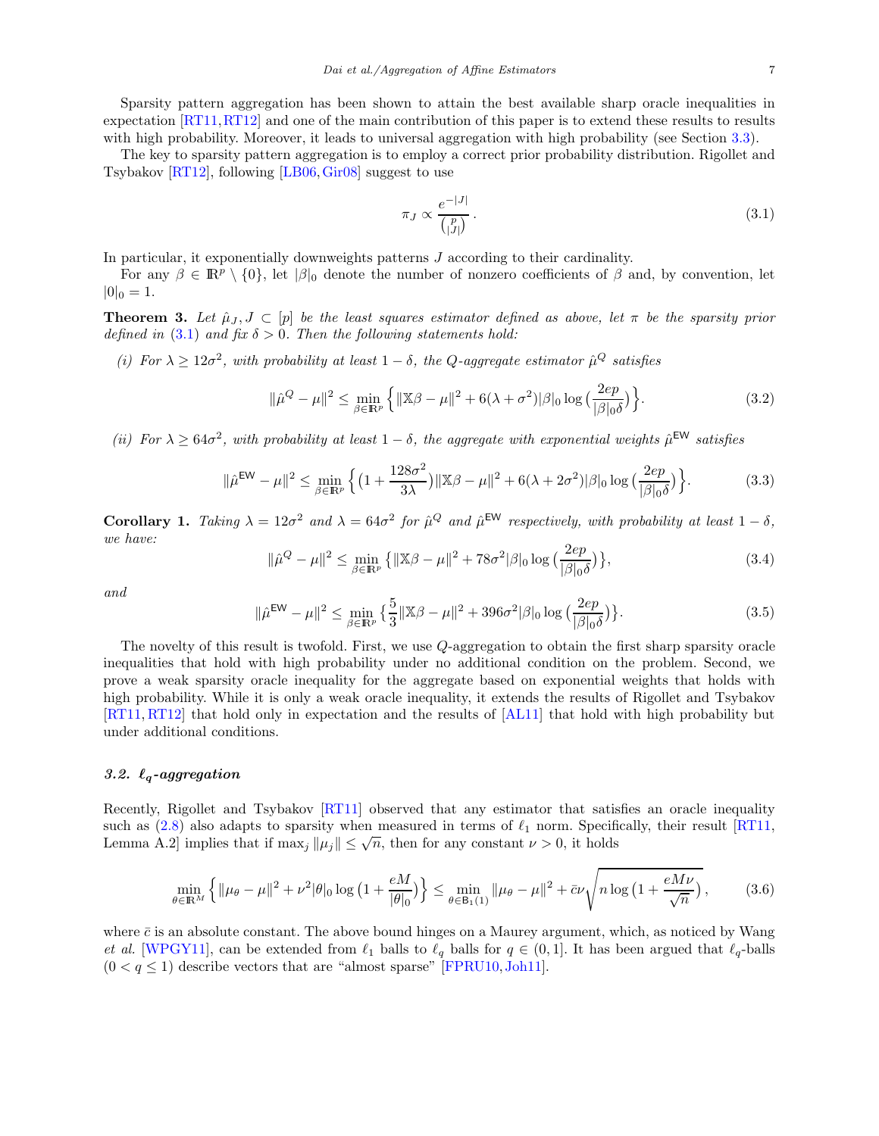Sparsity pattern aggregation has been shown to attain the best available sharp oracle inequalities in expectation [\[RT11,](#page-18-4)[RT12\]](#page-18-5) and one of the main contribution of this paper is to extend these results to results with high probability. Moreover, it leads to universal aggregation with high probability (see Section [3.3\)](#page-8-0).

The key to sparsity pattern aggregation is to employ a correct prior probability distribution. Rigollet and Tsybakov [\[RT12\]](#page-18-5), following [\[LB06,](#page-17-6)[Gir08\]](#page-17-19) suggest to use

<span id="page-6-1"></span>
$$
\pi_J \propto \frac{e^{-|J|}}{\binom{p}{|J|}}.\tag{3.1}
$$

In particular, it exponentially downweights patterns J according to their cardinality.

For any  $\beta \in \mathbb{R}^p \setminus \{0\}$ , let  $|\beta|_0$  denote the number of nonzero coefficients of  $\beta$  and, by convention, let  $|0|_0 = 1.$ 

<span id="page-6-0"></span>**Theorem 3.** Let  $\hat{\mu}_J, J \subset [p]$  be the least squares estimator defined as above, let  $\pi$  be the sparsity prior defined in [\(3.1\)](#page-6-1) and fix  $\delta > 0$ . Then the following statements hold:

(i) For  $\lambda \geq 12\sigma^2$ , with probability at least  $1-\delta$ , the Q-aggregate estimator  $\hat{\mu}^Q$  satisfies

<span id="page-6-3"></span>
$$
\|\hat{\mu}^Q - \mu\|^2 \le \min_{\beta \in \mathbb{R}^p} \left\{ \|\mathbb{X}\beta - \mu\|^2 + 6(\lambda + \sigma^2)|\beta|_0 \log\left(\frac{2ep}{|\beta|_0 \delta}\right) \right\}.
$$
 (3.2)

(ii) For  $\lambda \geq 64\sigma^2$ , with probability at least  $1-\delta$ , the aggregate with exponential weights  $\hat{\mu}^{\text{EW}}$  satisfies

<span id="page-6-4"></span>
$$
\|\hat{\mu}^{\text{EW}} - \mu\|^2 \le \min_{\beta \in \mathbb{R}^p} \left\{ \left(1 + \frac{128\sigma^2}{3\lambda}\right) \|\mathbb{X}\beta - \mu\|^2 + 6(\lambda + 2\sigma^2)|\beta|_0 \log\left(\frac{2ep}{|\beta|_0 \delta}\right) \right\}.
$$
 (3.3)

**Corollary 1.** Taking  $\lambda = 12\sigma^2$  and  $\lambda = 64\sigma^2$  for  $\hat{\mu}^Q$  and  $\hat{\mu}^{\text{EW}}$  respectively, with probability at least  $1 - \delta$ , we have:

$$
\|\hat{\mu}^{Q} - \mu\|^{2} \le \min_{\beta \in \mathbb{R}^{p}} \left\{ \|\mathbb{X}\beta - \mu\|^{2} + 78\sigma^{2}|\beta|_{0} \log\left(\frac{2ep}{|\beta|_{0}\delta}\right) \right\},\tag{3.4}
$$

and

$$
\|\hat{\mu}^{\text{EW}} - \mu\|^2 \le \min_{\beta \in \mathbb{R}^p} \left\{ \frac{5}{3} \|\mathbb{X}\beta - \mu\|^2 + 396\sigma^2 |\beta|_0 \log \left( \frac{2ep}{|\beta|_0 \delta} \right) \right\}.
$$
 (3.5)

The novelty of this result is twofold. First, we use Q-aggregation to obtain the first sharp sparsity oracle inequalities that hold with high probability under no additional condition on the problem. Second, we prove a weak sparsity oracle inequality for the aggregate based on exponential weights that holds with high probability. While it is only a weak oracle inequality, it extends the results of Rigollet and Tsybakov [\[RT11,](#page-18-4) [RT12\]](#page-18-5) that hold only in expectation and the results of [\[AL11\]](#page-17-17) that hold with high probability but under additional conditions.

#### 3.2.  $\ell_q$ -aggregation

Recently, Rigollet and Tsybakov [\[RT11\]](#page-18-4) observed that any estimator that satisfies an oracle inequality such as [\(2.8\)](#page-4-4) also adapts to sparsity when measured in terms of  $\ell_1$  norm. Specifically, their result [\[RT11,](#page-18-4) Lemma A.2] implies that if  $\max_j ||\mu_j|| \leq \sqrt{n}$ , then for any constant  $\nu > 0$ , it holds

<span id="page-6-2"></span>
$$
\min_{\theta \in \mathbb{R}^M} \left\{ \|\mu_{\theta} - \mu\|^2 + \nu^2 |\theta|_0 \log \left( 1 + \frac{eM}{|\theta|_0} \right) \right\} \le \min_{\theta \in \mathcal{B}_1(1)} \|\mu_{\theta} - \mu\|^2 + \bar{c}\nu \sqrt{n \log \left( 1 + \frac{eM\nu}{\sqrt{n}} \right)},\tag{3.6}
$$

where  $\bar{c}$  is an absolute constant. The above bound hinges on a Maurey argument, which, as noticed by Wang et al. [\[WPGY11\]](#page-18-12), can be extended from  $\ell_1$  balls to  $\ell_q$  balls for  $q \in (0,1]$ . It has been argued that  $\ell_q$ -balls  $(0 < q \le 1)$  describe vectors that are "almost sparse" [\[FPRU10,](#page-17-20) [Joh11\]](#page-17-3).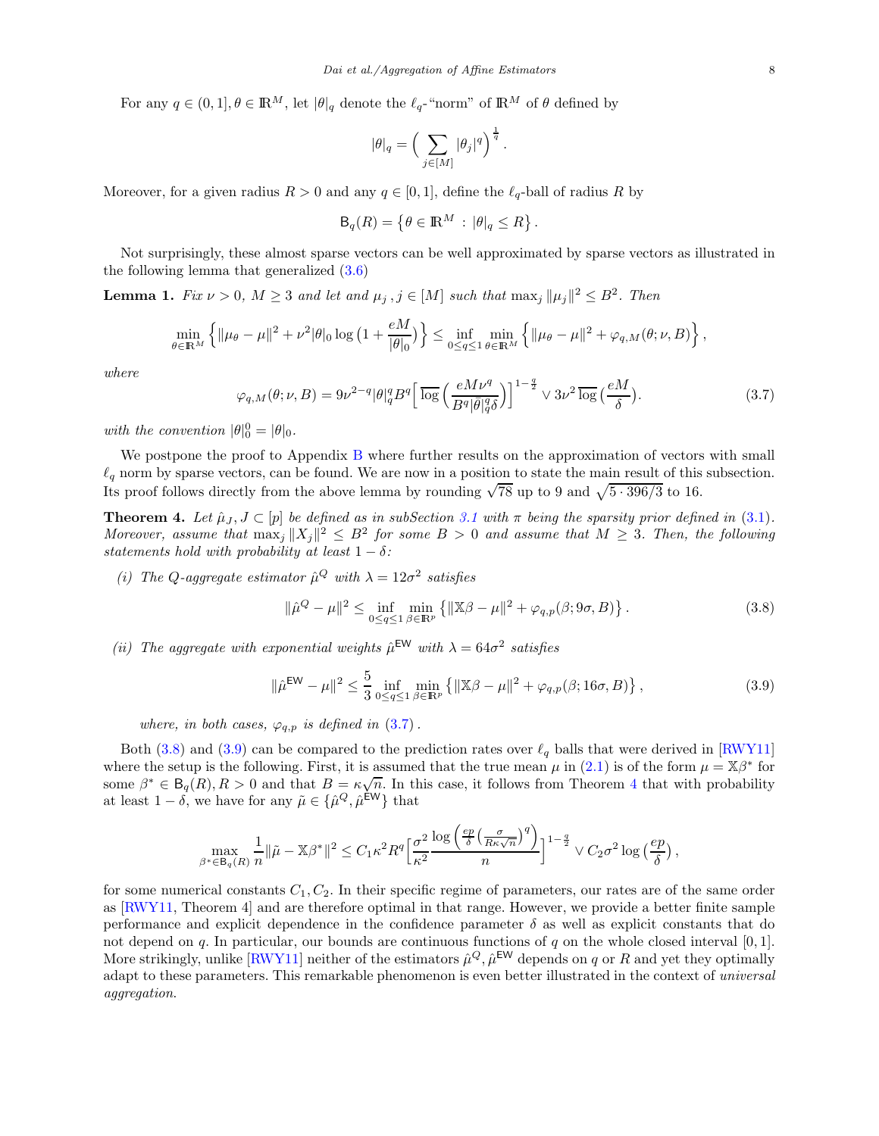For any  $q \in (0,1], \theta \in \mathbb{R}^M$ , let  $|\theta|_q$  denote the  $\ell_q$ -"norm" of  $\mathbb{R}^M$  of  $\theta$  defined by

$$
|\theta|_q=\Big(\sum_{j\in[M]}|\theta_j|^q\Big)^{\frac{1}{q}}
$$

Moreover, for a given radius  $R > 0$  and any  $q \in [0, 1]$ , define the  $\ell_q$ -ball of radius R by

$$
\mathsf{B}_q(R) = \left\{ \theta \in \mathbb{R}^M : |\theta|_q \le R \right\}.
$$

Not surprisingly, these almost sparse vectors can be well approximated by sparse vectors as illustrated in the following lemma that generalized [\(3.6\)](#page-6-2)

<span id="page-7-4"></span>**Lemma 1.** Fix  $\nu > 0$ ,  $M \ge 3$  and let and  $\mu_j$ ,  $j \in [M]$  such that  $\max_j ||\mu_j||^2 \le B^2$ . Then

$$
\min_{\theta \in \mathbb{R}^M} \left\{ \|\mu_\theta - \mu\|^2 + \nu^2 |\theta|_0 \log \left(1 + \frac{eM}{|\theta|_0}\right) \right\} \leq \inf_{0 \leq q \leq 1} \min_{\theta \in \mathbb{R}^M} \left\{ \|\mu_\theta - \mu\|^2 + \varphi_{q,M}(\theta; \nu, B) \right\},\,
$$

where

<span id="page-7-1"></span>
$$
\varphi_{q,M}(\theta;\nu,B) = 9\nu^{2-q} |\theta|_q^q B^q \left[ \overline{\log} \left( \frac{eM\nu^q}{B^q |\bar{\theta}|_q^q \delta} \right) \right]^{1-\frac{q}{2}} \vee 3\nu^2 \overline{\log} \left( \frac{eM}{\delta} \right). \tag{3.7}
$$

.

with the convention  $|\theta|_0^0 = |\theta|_0$ .

We postpone the proof to Appendix [B](#page-14-0) where further results on the approximation of vectors with small  $\ell_q$  norm by sparse vectors, can be found. We are now in a position to state the main result of this subsection. Its proof follows directly from the above lemma by rounding  $\sqrt{78}$  up to 9 and  $\sqrt{5 \cdot 396/3}$  to 16.

<span id="page-7-0"></span>**Theorem 4.** Let  $\hat{\mu}_J$ ,  $J \subset [p]$  be defined as in subSection [3.1](#page-5-3) with  $\pi$  being the sparsity prior defined in [\(3.1\)](#page-6-1). Moreover, assume that  $\max_j ||X_j||^2 \leq B^2$  for some  $B > 0$  and assume that  $M \geq 3$ . Then, the following statements hold with probability at least  $1 - \delta$ :

(i) The Q-aggregate estimator  $\hat{\mu}^Q$  with  $\lambda = 12\sigma^2$  satisfies

<span id="page-7-2"></span>
$$
\|\hat{\mu}^{Q} - \mu\|^{2} \le \inf_{0 \le q \le 1} \min_{\beta \in \mathbb{R}^{p}} \left\{ \|\mathbb{X}\beta - \mu\|^{2} + \varphi_{q,p}(\beta; 9\sigma, B) \right\}.
$$
 (3.8)

(ii) The aggregate with exponential weights  $\hat{\mu}^{\text{EW}}$  with  $\lambda = 64\sigma^2$  satisfies

<span id="page-7-3"></span>
$$
\|\hat{\mu}^{\text{EW}} - \mu\|^2 \le \frac{5}{3} \inf_{0 \le q \le 1} \min_{\beta \in \mathbb{R}^p} \left\{ \|\mathbb{X}\beta - \mu\|^2 + \varphi_{q,p}(\beta; 16\sigma, B) \right\},\tag{3.9}
$$

where, in both cases,  $\varphi_{q,p}$  is defined in  $(3.7)$ .

Both [\(3.8\)](#page-7-2) and [\(3.9\)](#page-7-3) can be compared to the prediction rates over  $\ell_q$  balls that were derived in [\[RWY11\]](#page-18-13) where the setup is the following. First, it is assumed that the true mean  $\mu$  in [\(2.1\)](#page-2-0) is of the form  $\mu = \mathbb{X}\beta^*$  for some  $\beta^* \in \mathsf{B}_q(R), R > 0$  and that  $B = \kappa \sqrt{n}$ . In this case, it follows from Theorem [4](#page-7-0) that with probability at least  $1 - \delta$ , we have for any  $\tilde{\mu} \in {\{\hat{\mu}^Q, \hat{\mu}^{\text{EW}}\}}$  that

$$
\max_{\beta^* \in \mathsf{B}_q(R)} \frac{1}{n} \|\tilde{\mu} - \mathbb{X}\beta^*\|^2 \leq C_1 \kappa^2 R^q \Big[\frac{\sigma^2}{\kappa^2} \frac{\log\left(\frac{ep}{\delta}\left(\frac{\sigma}{R\kappa\sqrt{n}}\right)^q\right)}{n}\Big]^{1-\frac{q}{2}} \vee C_2 \sigma^2 \log\left(\frac{ep}{\delta}\right),
$$

for some numerical constants  $C_1, C_2$ . In their specific regime of parameters, our rates are of the same order as [\[RWY11,](#page-18-13) Theorem 4] and are therefore optimal in that range. However, we provide a better finite sample performance and explicit dependence in the confidence parameter  $\delta$  as well as explicit constants that do not depend on q. In particular, our bounds are continuous functions of q on the whole closed interval  $[0, 1]$ . More strikingly, unlike  $[\text{RWY11}]$  neither of the estimators  $\hat{\mu}^Q$ ,  $\hat{\mu}^{\text{EW}}$  depends on q or R and yet they optimally adapt to these parameters. This remarkable phenomenon is even better illustrated in the context of *universal* aggregation.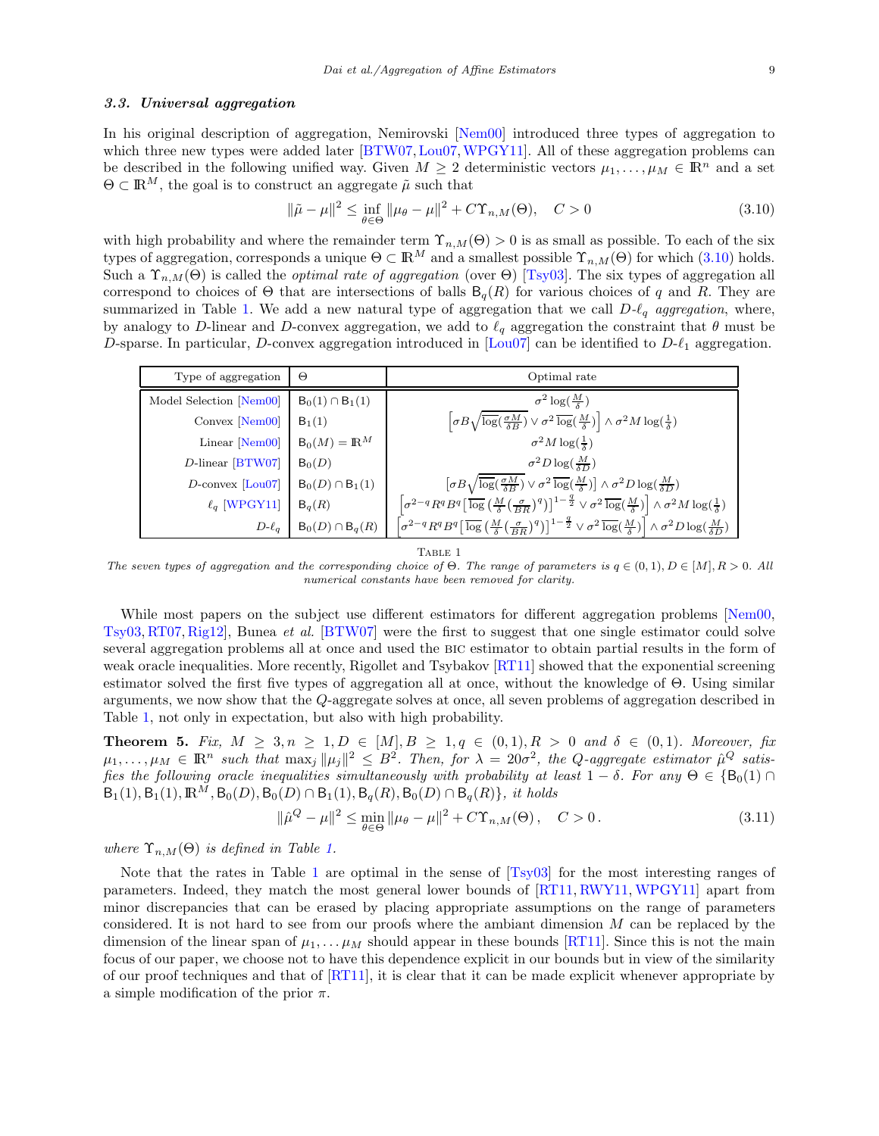#### <span id="page-8-0"></span>3.3. Universal aggregation

In his original description of aggregation, Nemirovski [\[Nem00\]](#page-18-1) introduced three types of aggregation to which three new types were added later [\[BTW07,](#page-17-21) [Lou07,](#page-18-14) [WPGY11\]](#page-18-12). All of these aggregation problems can be described in the following unified way. Given  $M \geq 2$  deterministic vectors  $\mu_1, \ldots, \mu_M \in \mathbb{R}^n$  and a set  $\Theta \subset \mathbb{R}^M$ , the goal is to construct an aggregate  $\tilde{\mu}$  such that

<span id="page-8-1"></span>
$$
\|\tilde{\mu} - \mu\|^2 \le \inf_{\theta \in \Theta} \|\mu_\theta - \mu\|^2 + C\Upsilon_{n,M}(\Theta), \quad C > 0
$$
\n(3.10)

with high probability and where the remainder term  $\Upsilon_{n,M}(\Theta) > 0$  is as small as possible. To each of the six types of aggregation, corresponds a unique  $\Theta \subset \mathbb{R}^M$  and a smallest possible  $\Upsilon_{n,M}(\Theta)$  for which [\(3.10\)](#page-8-1) holds. Such a  $\Upsilon_{n,M}(\Theta)$  is called the *optimal rate of aggregation* (over  $\Theta$ ) [\[Tsy03\]](#page-18-6). The six types of aggregation all correspond to choices of  $\Theta$  that are intersections of balls  $B_q(R)$  for various choices of q and R. They are summarized in Table [1.](#page-8-2) We add a new natural type of aggregation that we call  $D-\ell_q$  aggregation, where, by analogy to D-linear and D-convex aggregation, we add to  $\ell_q$  aggregation the constraint that  $\theta$  must be D-sparse. In particular, D-convex aggregation introduced in  $|{\rm Lou07}|$  can be identified to  $D\text{-}\ell_1$  aggregation.

| Type of aggregation               | Θ                       | Optimal rate                                                                                                                                                                                                                                                           |
|-----------------------------------|-------------------------|------------------------------------------------------------------------------------------------------------------------------------------------------------------------------------------------------------------------------------------------------------------------|
| Model Selection [Nem00]           | $B_0(1) \cap B_1(1)$    | $\sigma^2 \log(\frac{M}{\delta})$                                                                                                                                                                                                                                      |
| Convex $[Nem00]$                  | $B_1(1)$                | $\left[\sigma B \sqrt{\log(\frac{\sigma M}{\delta B})} \vee \sigma^2 \frac{\log(\frac{M}{\delta})}{\log(\frac{M}{\delta})}\right] \wedge \sigma^2 M \log(\frac{1}{\delta})$                                                                                            |
| Linear [Nem00]                    | $B_0(M) = \mathbb{R}^M$ | $\sigma^2 M \log(\frac{1}{\delta})$                                                                                                                                                                                                                                    |
| $D$ -linear [BTW07]               | $B_0(D)$                | $\sigma^2 D \log(\frac{M}{5D})$                                                                                                                                                                                                                                        |
| $D$ -convex $\vert$ Lou07 $\vert$ | $B_0(D) \cap B_1(1)$    | $\left[\sigma B\sqrt{\log\left(\frac{\sigma M}{\delta B}\right)} \vee \sigma^2 \overline{\log}\left(\frac{M}{\delta}\right)\right] \wedge \sigma^2 D \log\left(\frac{M}{\delta D}\right)$                                                                              |
| $\ell_q$ [WPGY11]                 | $B_q(R)$                | $\left[ \sigma^{2-q} R^q B^q \left[ \overline{\log } \left( \tfrac{M}{\delta} \big( \tfrac{\sigma}{BR} \big)^q \right) \right]^{1-\frac{q}{2}} \vee \sigma^2 \overline{\log}(\tfrac{M}{\delta}) \right] \wedge \sigma^2 M \log(\tfrac{1}{\delta})$                     |
| $D-\ell_a$                        | $B_0(D) \cap B_q(R)$    | $\left[\sigma^{2-q} R^q B^q\right] \overline{\log\left(\frac{M}{\delta} \left(\frac{\sigma}{RB}\right)^q\right)}\right]^{1-\frac{q}{2}} \vee \sigma^2 \overline{\log\left(\frac{M}{\delta}\right)} \left[\wedge \sigma^2 D \log\left(\frac{M}{\delta D}\right)\right]$ |

TABLE 1

<span id="page-8-2"></span>The seven types of aggregation and the corresponding choice of  $\Theta$ . The range of parameters is  $q \in (0,1)$ ,  $D \in [M]$ ,  $R > 0$ . All numerical constants have been removed for clarity.

While most papers on the subject use different estimators for different aggregation problems [\[Nem00,](#page-18-1) [Tsy03,](#page-18-6) [RT07,](#page-18-2) [Rig12\]](#page-18-8), Bunea et al. [\[BTW07\]](#page-17-21) were the first to suggest that one single estimator could solve several aggregation problems all at once and used the bic estimator to obtain partial results in the form of weak oracle inequalities. More recently, Rigollet and Tsybakov [\[RT11\]](#page-18-4) showed that the exponential screening estimator solved the first five types of aggregation all at once, without the knowledge of Θ. Using similar arguments, we now show that the Q-aggregate solves at once, all seven problems of aggregation described in Table [1,](#page-8-2) not only in expectation, but also with high probability.

<span id="page-8-3"></span>**Theorem 5.** Fix,  $M \geq 3, n \geq 1, D \in [M], B \geq 1, q \in (0,1), R > 0$  and  $\delta \in (0,1)$ . Moreover, fix  $\mu_1,\ldots,\mu_M\in\mathbb{R}^n$  such that  $\max_j\|\mu_j\|^2\leq B^2$ . Then, for  $\lambda=20\sigma^2$ , the Q-aggregate estimator  $\hat{\mu}^Q$  satisfies the following oracle inequalities simultaneously with probability at least  $1 - \delta$ . For any  $\Theta \in \{B_0(1) \cap B_1\}$  $B_1(1), B_1(1), \mathbb{R}^M, B_0(D), B_0(D) \cap B_1(1), B_q(R), B_0(D) \cap B_q(R) \},\; it \; holds$ 

$$
\|\hat{\mu}^{Q} - \mu\|^{2} \le \min_{\theta \in \Theta} \|\mu_{\theta} - \mu\|^{2} + C\Upsilon_{n,M}(\Theta), \quad C > 0.
$$
 (3.11)

where  $\Upsilon_{n,M}(\Theta)$  is defined in Table [1.](#page-8-2)

Note that the rates in Table [1](#page-8-2) are optimal in the sense of [\[Tsy03\]](#page-18-6) for the most interesting ranges of parameters. Indeed, they match the most general lower bounds of [\[RT11,](#page-18-4) [RWY11,](#page-18-13) [WPGY11\]](#page-18-12) apart from minor discrepancies that can be erased by placing appropriate assumptions on the range of parameters considered. It is not hard to see from our proofs where the ambiant dimension  $M$  can be replaced by the dimension of the linear span of  $\mu_1, \ldots, \mu_M$  should appear in these bounds [\[RT11\]](#page-18-4). Since this is not the main focus of our paper, we choose not to have this dependence explicit in our bounds but in view of the similarity of our proof techniques and that of [\[RT11\]](#page-18-4), it is clear that it can be made explicit whenever appropriate by a simple modification of the prior  $\pi$ .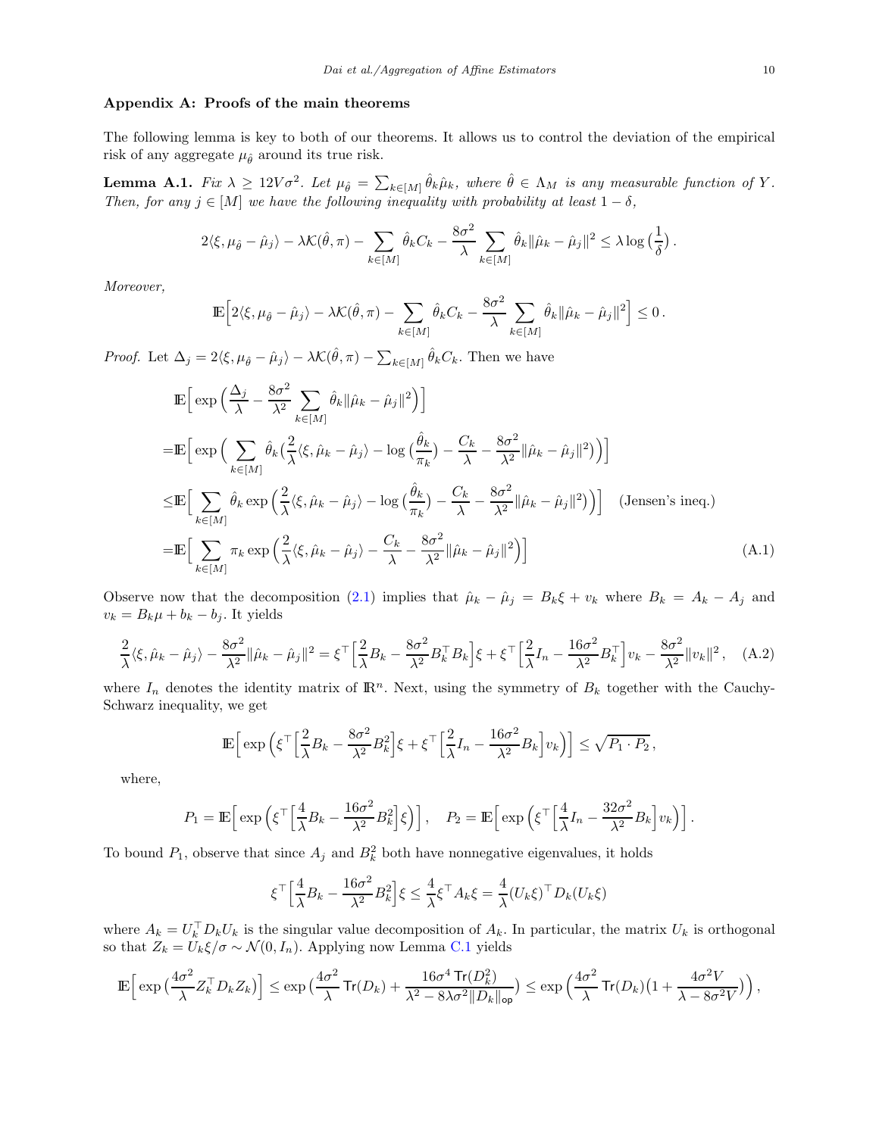#### Appendix A: Proofs of the main theorems

The following lemma is key to both of our theorems. It allows us to control the deviation of the empirical risk of any aggregate  $\mu_{\hat{\theta}}$  around its true risk.

<span id="page-9-2"></span>**Lemma A.1.** Fix  $\lambda \geq 12V\sigma^2$ . Let  $\mu_{\hat{\theta}} = \sum_{k \in [M]} \hat{\theta}_k \hat{\mu}_k$ , where  $\hat{\theta} \in \Lambda_M$  is any measurable function of Y. Then, for any  $j \in [M]$  we have the following inequality with probability at least  $1 - \delta$ ,

$$
2\langle \xi, \mu_{\hat{\theta}} - \hat{\mu}_j \rangle - \lambda \mathcal{K}(\hat{\theta}, \pi) - \sum_{k \in [M]} \hat{\theta}_k C_k - \frac{8\sigma^2}{\lambda} \sum_{k \in [M]} \hat{\theta}_k ||\hat{\mu}_k - \hat{\mu}_j||^2 \leq \lambda \log\left(\frac{1}{\delta}\right).
$$

Moreover,

$$
\mathbb{E}\Big[2\langle \xi, \mu_{\hat{\theta}} - \hat{\mu}_j \rangle - \lambda \mathcal{K}(\hat{\theta}, \pi) - \sum_{k \in [M]} \hat{\theta}_k C_k - \frac{8\sigma^2}{\lambda} \sum_{k \in [M]} \hat{\theta}_k ||\hat{\mu}_k - \hat{\mu}_j||^2\Big] \leq 0.
$$

*Proof.* Let  $\Delta_j = 2\langle \xi, \mu_{\hat{\theta}} - \hat{\mu}_j \rangle - \lambda \mathcal{K}(\hat{\theta}, \pi) - \sum_{k \in [M]} \hat{\theta}_k C_k$ . Then we have

$$
\mathbb{E}\Big[\exp\Big(\frac{\Delta_j}{\lambda} - \frac{8\sigma^2}{\lambda^2} \sum_{k \in [M]} \hat{\theta}_k \|\hat{\mu}_k - \hat{\mu}_j\|^2\Big)\Big]
$$
\n
$$
= \mathbb{E}\Big[\exp\Big(\sum_{k \in [M]} \hat{\theta}_k \big(\frac{2}{\lambda} \langle \xi, \hat{\mu}_k - \hat{\mu}_j \rangle - \log \big(\frac{\hat{\theta}_k}{\pi_k}\big) - \frac{C_k}{\lambda} - \frac{8\sigma^2}{\lambda^2} \|\hat{\mu}_k - \hat{\mu}_j\|^2\Big)\Big]\Big]
$$
\n
$$
\leq \mathbb{E}\Big[\sum_{k \in [M]} \hat{\theta}_k \exp\Big(\frac{2}{\lambda} \langle \xi, \hat{\mu}_k - \hat{\mu}_j \rangle - \log \big(\frac{\hat{\theta}_k}{\pi_k}\big) - \frac{C_k}{\lambda} - \frac{8\sigma^2}{\lambda^2} \|\hat{\mu}_k - \hat{\mu}_j\|^2\Big)\Big]\Big] \quad \text{(Jensen's ineq.)}
$$
\n
$$
= \mathbb{E}\Big[\sum_{k \in [M]} \pi_k \exp\Big(\frac{2}{\lambda} \langle \xi, \hat{\mu}_k - \hat{\mu}_j \rangle - \frac{C_k}{\lambda} - \frac{8\sigma^2}{\lambda^2} \|\hat{\mu}_k - \hat{\mu}_j\|^2\Big)\Big] \tag{A.1}
$$

Observe now that the decomposition [\(2.1\)](#page-2-0) implies that  $\hat{\mu}_k - \hat{\mu}_j = B_k \xi + v_k$  where  $B_k = A_k - A_j$  and  $v_k = B_k \mu + b_k - b_j$ . It yields

<span id="page-9-1"></span>
$$
\frac{2}{\lambda}\langle \xi, \hat{\mu}_k - \hat{\mu}_j \rangle - \frac{8\sigma^2}{\lambda^2} \|\hat{\mu}_k - \hat{\mu}_j\|^2 = \xi^{\top} \Big[\frac{2}{\lambda}B_k - \frac{8\sigma^2}{\lambda^2}B_k^{\top}B_k\Big]\xi + \xi^{\top} \Big[\frac{2}{\lambda}I_n - \frac{16\sigma^2}{\lambda^2}B_k^{\top}\Big]v_k - \frac{8\sigma^2}{\lambda^2} \|v_k\|^2, \quad (A.2)
$$

where  $I_n$  denotes the identity matrix of  $\mathbb{R}^n$ . Next, using the symmetry of  $B_k$  together with the Cauchy-Schwarz inequality, we get

<span id="page-9-0"></span>
$$
\mathbb{E}\Big[\exp\Big(\xi^\top \Big[\frac{2}{\lambda}B_k - \frac{8\sigma^2}{\lambda^2}B_k^2\Big]\xi + \xi^\top \Big[\frac{2}{\lambda}I_n - \frac{16\sigma^2}{\lambda^2}B_k\Big]v_k\Big)\Big] \leq \sqrt{P_1 \cdot P_2} \,,
$$

where,

$$
P_1 = \mathbb{E}\left[\exp\left(\xi^\top \left[\frac{4}{\lambda}B_k - \frac{16\sigma^2}{\lambda^2}B_k^2\right]\xi\right)\right], \quad P_2 = \mathbb{E}\left[\exp\left(\xi^\top \left[\frac{4}{\lambda}I_n - \frac{32\sigma^2}{\lambda^2}B_k\right]v_k\right)\right].
$$

To bound  $P_1$ , observe that since  $A_j$  and  $B_k^2$  both have nonnegative eigenvalues, it holds

$$
\xi^{\top} \Big[ \frac{4}{\lambda} B_k - \frac{16\sigma^2}{\lambda^2} B_k^2 \Big] \xi \le \frac{4}{\lambda} \xi^{\top} A_k \xi = \frac{4}{\lambda} (U_k \xi)^{\top} D_k (U_k \xi)
$$

where  $A_k = U_k^{\dagger} D_k U_k$  is the singular value decomposition of  $A_k$ . In particular, the matrix  $U_k$  is orthogonal so that  $Z_k = U_k \xi / \sigma \sim \mathcal{N}(0, I_n)$ . Applying now Lemma [C.1](#page-16-0) yields

$$
\mathbb{E}\Big[\exp\big(\frac{4\sigma^2}{\lambda}Z_k^\top D_k Z_k\big)\Big]\leq \exp\big(\frac{4\sigma^2}{\lambda}\mathsf{Tr}(D_k)+\frac{16\sigma^4\mathsf{Tr}(D_k^2)}{\lambda^2-8\lambda\sigma^2\|D_k\|_{\mathsf{op}}}\big)\leq \exp\Big(\frac{4\sigma^2}{\lambda}\mathsf{Tr}(D_k)\big(1+\frac{4\sigma^2V}{\lambda-8\sigma^2V}\big)\Big)\,,
$$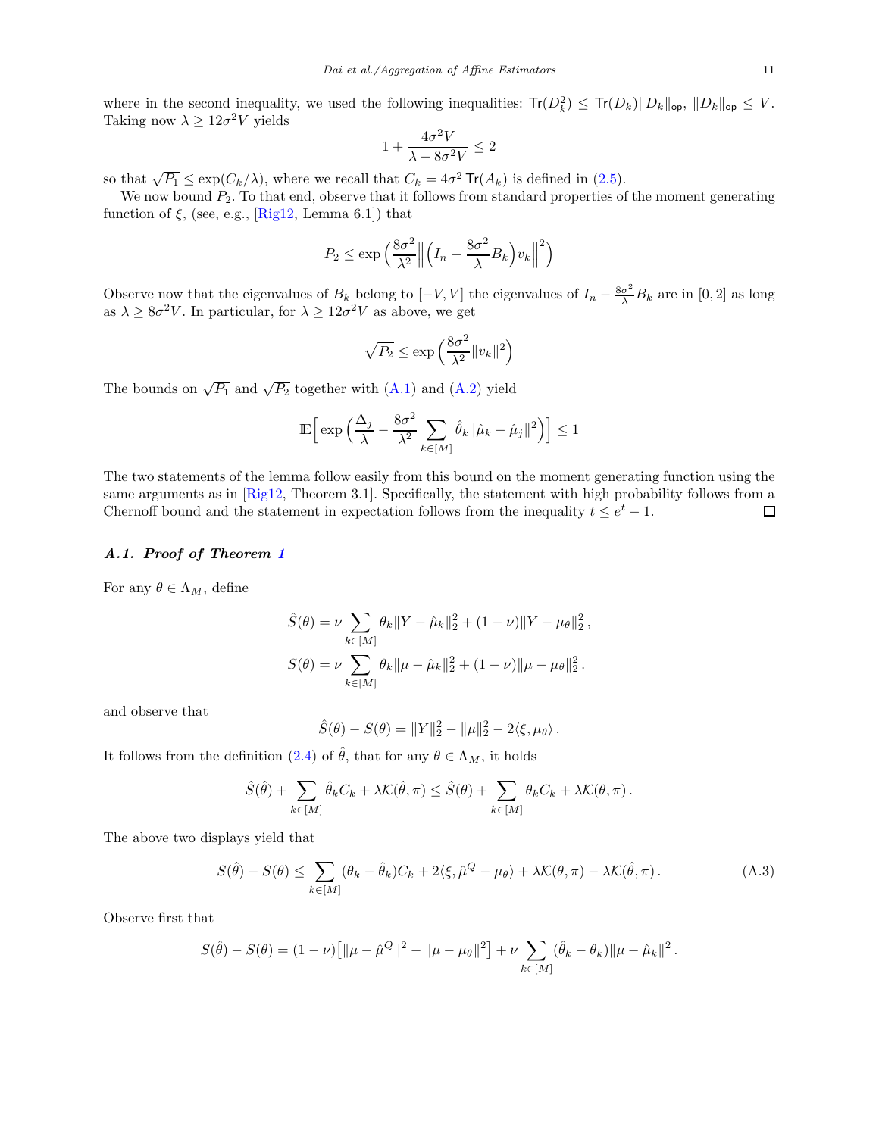where in the second inequality, we used the following inequalities:  $Tr(D_k^2) \leq Tr(D_k) ||D_k||_{op}, ||D_k||_{op} \leq V$ . Taking now  $\lambda \geq 12\sigma^2 V$  yields

$$
1 + \frac{4\sigma^2 V}{\lambda - 8\sigma^2 V} \le 2
$$

so that  $\sqrt{P_1} \le \exp(C_k/\lambda)$ , where we recall that  $C_k = 4\sigma^2 \operatorname{Tr}(A_k)$  is defined in [\(2.5\)](#page-3-3).

We now bound  $P_2$ . To that end, observe that it follows from standard properties of the moment generating function of  $\xi$ , (see, e.g., [\[Rig12,](#page-18-8) Lemma 6.1]) that

$$
P_2 \le \exp\left(\frac{8\sigma^2}{\lambda^2} \left\| \left(I_n - \frac{8\sigma^2}{\lambda} B_k\right) v_k \right\|^2\right)
$$

Observe now that the eigenvalues of  $B_k$  belong to  $[-V, V]$  the eigenvalues of  $I_n - \frac{8\sigma^2}{\lambda} B_k$  are in [0, 2] as long as  $\lambda \geq 8\sigma^2 V$ . In particular, for  $\lambda \geq 12\sigma^2 V$  as above, we get

$$
\sqrt{P_2} \le \exp\left(\frac{8\sigma^2}{\lambda^2} \|v_k\|^2\right)
$$

The bounds on  $\sqrt{P_1}$  and  $\sqrt{P_2}$  together with  $(A.1)$  and  $(A.2)$  yield

$$
\mathbb{E}\Big[\exp\Big(\frac{\Delta_j}{\lambda} - \frac{8\sigma^2}{\lambda^2} \sum_{k \in [M]} \hat{\theta}_k \|\hat{\mu}_k - \hat{\mu}_j\|^2\Big)\Big] \le 1
$$

The two statements of the lemma follow easily from this bound on the moment generating function using the same arguments as in [\[Rig12,](#page-18-8) Theorem 3.1]. Specifically, the statement with high probability follows from a Chernoff bound and the statement in expectation follows from the inequality  $t \leq e^t - 1$ . 口

# A.1. Proof of Theorem [1](#page-4-1)

For any  $\theta \in \Lambda_M$ , define

$$
\hat{S}(\theta) = \nu \sum_{k \in [M]} \theta_k \|Y - \hat{\mu}_k\|_2^2 + (1 - \nu) \|Y - \mu_\theta\|_2^2,
$$
  

$$
S(\theta) = \nu \sum_{k \in [M]} \theta_k \|\mu - \hat{\mu}_k\|_2^2 + (1 - \nu) \|\mu - \mu_\theta\|_2^2.
$$

and observe that

$$
\hat{S}(\theta) - S(\theta) = ||Y||_2^2 - ||\mu||_2^2 - 2\langle \xi, \mu_\theta \rangle.
$$

It follows from the definition [\(2.4\)](#page-3-4) of  $\hat{\theta}$ , that for any  $\theta \in \Lambda_M$ , it holds

$$
\hat{S}(\hat{\theta}) + \sum_{k \in [M]} \hat{\theta}_k C_k + \lambda \mathcal{K}(\hat{\theta}, \pi) \leq \hat{S}(\theta) + \sum_{k \in [M]} \theta_k C_k + \lambda \mathcal{K}(\theta, \pi).
$$

The above two displays yield that

<span id="page-10-0"></span>
$$
S(\hat{\theta}) - S(\theta) \le \sum_{k \in [M]} (\theta_k - \hat{\theta}_k) C_k + 2\langle \xi, \hat{\mu}^Q - \mu_{\theta} \rangle + \lambda \mathcal{K}(\theta, \pi) - \lambda \mathcal{K}(\hat{\theta}, \pi).
$$
 (A.3)

Observe first that

$$
S(\hat{\theta}) - S(\theta) = (1 - \nu) \left[ \|\mu - \hat{\mu}^Q\|^2 - \|\mu - \mu_\theta\|^2 \right] + \nu \sum_{k \in [M]} (\hat{\theta}_k - \theta_k) \|\mu - \hat{\mu}_k\|^2.
$$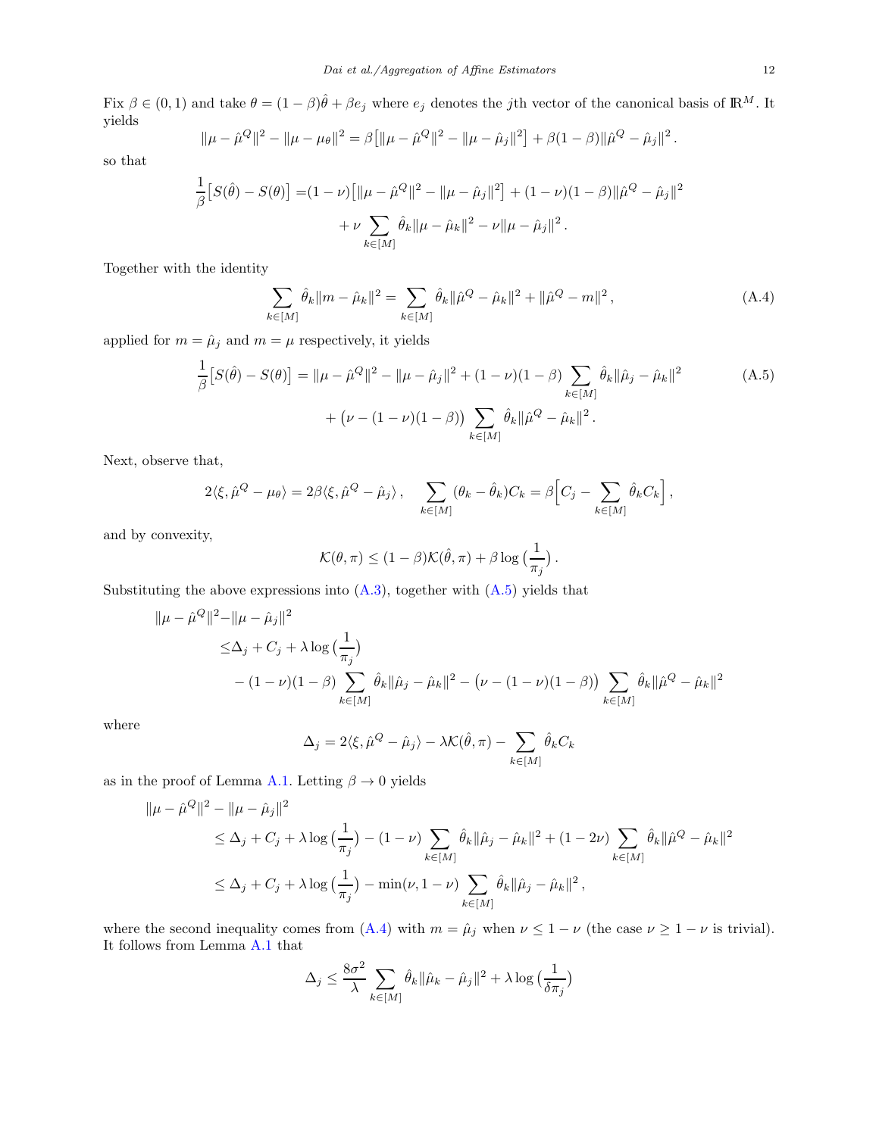Fix  $\beta \in (0,1)$  and take  $\theta = (1-\beta)\hat{\theta} + \beta e_j$  where  $e_j$  denotes the jth vector of the canonical basis of  $\mathbb{R}^M$ . It yields

$$
\|\mu - \hat{\mu}^Q\|^2 - \|\mu - \mu_\theta\|^2 = \beta \left[ \|\mu - \hat{\mu}^Q\|^2 - \|\mu - \hat{\mu}_j\|^2 \right] + \beta (1 - \beta) \|\hat{\mu}^Q - \hat{\mu}_j\|^2
$$

so that

$$
\frac{1}{\beta} [S(\hat{\theta}) - S(\theta)] = (1 - \nu) [\|\mu - \hat{\mu}^Q\|^2 - \|\mu - \hat{\mu}_j\|^2] + (1 - \nu)(1 - \beta)\|\hat{\mu}^Q - \hat{\mu}_j\|^2
$$

$$
+ \nu \sum_{k \in [M]} \hat{\theta}_k \|\mu - \hat{\mu}_k\|^2 - \nu \|\mu - \hat{\mu}_j\|^2.
$$

Together with the identity

<span id="page-11-1"></span>
$$
\sum_{k \in [M]} \hat{\theta}_k \|m - \hat{\mu}_k\|^2 = \sum_{k \in [M]} \hat{\theta}_k \|\hat{\mu}^Q - \hat{\mu}_k\|^2 + \|\hat{\mu}^Q - m\|^2,
$$
\n(A.4)

applied for  $m = \hat{\mu}_j$  and  $m = \mu$  respectively, it yields

$$
\frac{1}{\beta} [S(\hat{\theta}) - S(\theta)] = ||\mu - \hat{\mu}^Q||^2 - ||\mu - \hat{\mu}_j||^2 + (1 - \nu)(1 - \beta) \sum_{k \in [M]} \hat{\theta}_k ||\hat{\mu}_j - \hat{\mu}_k||^2
$$
\n
$$
+ (\nu - (1 - \nu)(1 - \beta)) \sum_{k \in [M]} \hat{\theta}_k ||\hat{\mu}^Q - \hat{\mu}_k||^2.
$$
\n(A.5)

Next, observe that,

$$
2\langle \xi, \hat{\mu}^Q - \mu_{\theta} \rangle = 2\beta \langle \xi, \hat{\mu}^Q - \hat{\mu}_j \rangle, \quad \sum_{k \in [M]} (\theta_k - \hat{\theta}_k) C_k = \beta \Big[ C_j - \sum_{k \in [M]} \hat{\theta}_k C_k \Big],
$$

and by convexity,

$$
\mathcal{K}(\theta,\pi) \leq (1-\beta)\mathcal{K}(\hat{\theta},\pi) + \beta \log\left(\frac{1}{\pi_j}\right).
$$

Substituting the above expressions into  $(A.3)$ , together with  $(A.5)$  yields that

$$
\|\mu - \hat{\mu}^{Q}\|^{2} - \|\mu - \hat{\mu}_{j}\|^{2}
$$
  
\n
$$
\leq \Delta_{j} + C_{j} + \lambda \log \left(\frac{1}{\pi_{j}}\right)
$$
  
\n
$$
- (1 - \nu)(1 - \beta) \sum_{k \in [M]} \hat{\theta}_{k} \|\hat{\mu}_{j} - \hat{\mu}_{k}\|^{2} - \left(\nu - (1 - \nu)(1 - \beta)\right) \sum_{k \in [M]} \hat{\theta}_{k} \|\hat{\mu}^{Q} - \hat{\mu}_{k}\|^{2}
$$

where

$$
\Delta_j = 2\langle \xi, \hat{\mu}^Q - \hat{\mu}_j \rangle - \lambda \mathcal{K}(\hat{\theta}, \pi) - \sum_{k \in [M]} \hat{\theta}_k C_k
$$

as in the proof of Lemma [A.1.](#page-9-2) Letting  $\beta \to 0$  yields

$$
\|\mu - \hat{\mu}^{Q}\|^{2} - \|\mu - \hat{\mu}_{j}\|^{2}
$$
  
\n
$$
\leq \Delta_{j} + C_{j} + \lambda \log \left(\frac{1}{\pi_{j}}\right) - (1 - \nu) \sum_{k \in [M]} \hat{\theta}_{k} \|\hat{\mu}_{j} - \hat{\mu}_{k}\|^{2} + (1 - 2\nu) \sum_{k \in [M]} \hat{\theta}_{k} \|\hat{\mu}^{Q} - \hat{\mu}_{k}\|^{2}
$$
  
\n
$$
\leq \Delta_{j} + C_{j} + \lambda \log \left(\frac{1}{\pi_{j}}\right) - \min(\nu, 1 - \nu) \sum_{k \in [M]} \hat{\theta}_{k} \|\hat{\mu}_{j} - \hat{\mu}_{k}\|^{2},
$$

where the second inequality comes from [\(A.4\)](#page-11-1) with  $m = \hat{\mu}_j$  when  $\nu \leq 1 - \nu$  (the case  $\nu \geq 1 - \nu$  is trivial). It follows from Lemma [A.1](#page-9-2) that

$$
\Delta_j \le \frac{8\sigma^2}{\lambda} \sum_{k \in [M]} \hat{\theta}_k \|\hat{\mu}_k - \hat{\mu}_j\|^2 + \lambda \log \left(\frac{1}{\delta \pi_j}\right)
$$

<span id="page-11-0"></span>.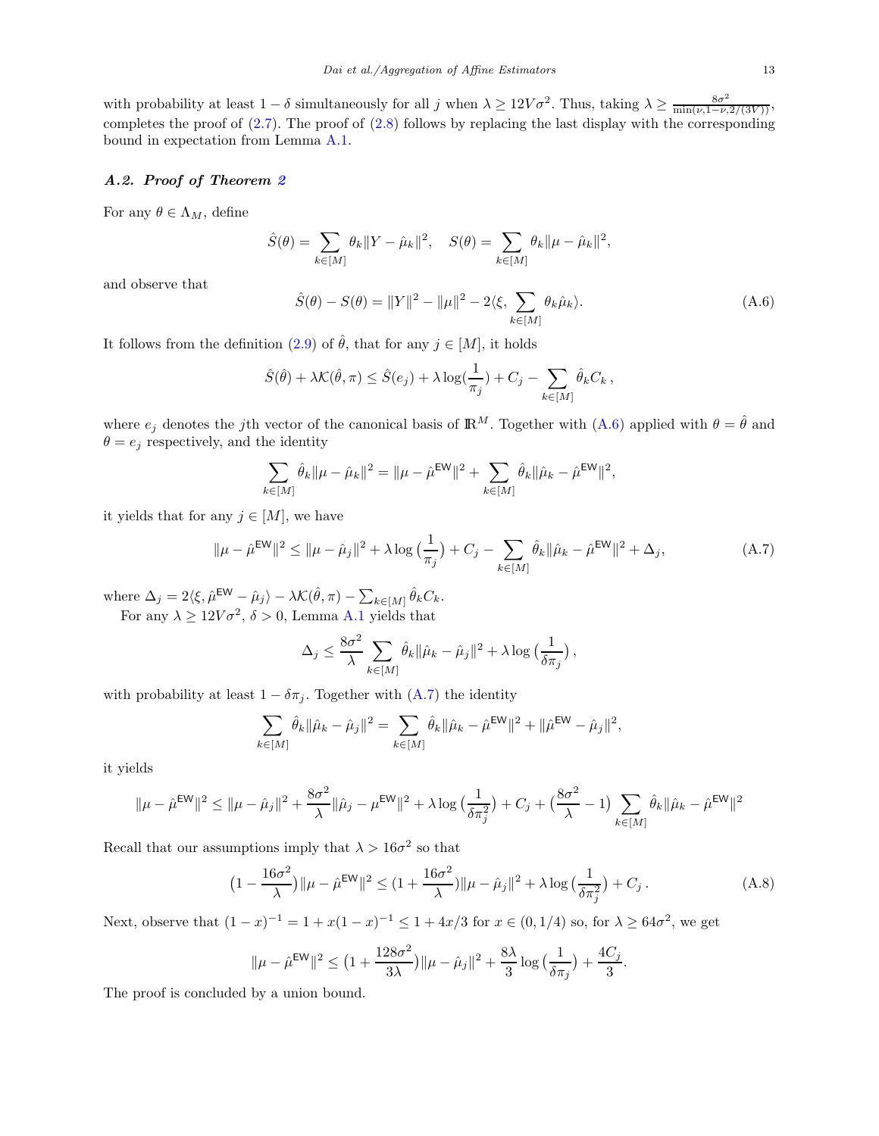with probability at least  $1 - \delta$  simultaneously for all j when  $\lambda \geq 12V\sigma^2$ . Thus, taking  $\lambda \geq \frac{8\sigma^2}{\min(\nu,1-\nu,2/(3V))}$ , completes the proof of  $(2.7)$ . The proof of  $(2.8)$  follows by replacing the last display with the corresponding bound in expectation from Lemma [A.1.](#page-9-2)

# A.2. Proof of Theorem [2](#page-5-1)

For any  $\theta \in \Lambda_M$ , define

$$
\hat{S}(\theta) = \sum_{k \in [M]} \theta_k \|Y - \hat{\mu}_k\|^2, \quad S(\theta) = \sum_{k \in [M]} \theta_k \|\mu - \hat{\mu}_k\|^2,
$$

and observe that

<span id="page-12-1"></span>
$$
\hat{S}(\theta) - S(\theta) = ||Y||^2 - ||\mu||^2 - 2\langle \xi, \sum_{k \in [M]} \theta_k \hat{\mu}_k \rangle.
$$
 (A.6)

It follows from the definition [\(2.9\)](#page-4-3) of  $\hat{\theta}$ , that for any  $j \in [M]$ , it holds

$$
\hat{S}(\hat{\theta}) + \lambda \mathcal{K}(\hat{\theta}, \pi) \leq \hat{S}(e_j) + \lambda \log(\frac{1}{\pi_j}) + C_j - \sum_{k \in [M]} \hat{\theta}_k C_k,
$$

where  $e_j$  denotes the jth vector of the canonical basis of  $\mathbb{R}^M$ . Together with  $(A.6)$  applied with  $\theta = \hat{\theta}$  and  $\theta = e_j$  respectively, and the identity

$$
\sum_{k \in [M]} \hat{\theta}_k \|\mu - \hat{\mu}_k\|^2 = \|\mu - \hat{\mu}^{\text{EW}}\|^2 + \sum_{k \in [M]} \hat{\theta}_k \|\hat{\mu}_k - \hat{\mu}^{\text{EW}}\|^2,
$$

it yields that for any  $j \in [M]$ , we have

<span id="page-12-2"></span>
$$
\|\mu - \hat{\mu}^{\text{EW}}\|^2 \le \|\mu - \hat{\mu}_j\|^2 + \lambda \log \left(\frac{1}{\pi_j}\right) + C_j - \sum_{k \in [M]} \hat{\theta}_k \|\hat{\mu}_k - \hat{\mu}^{\text{EW}}\|^2 + \Delta_j,\tag{A.7}
$$

where  $\Delta_j = 2\langle \xi, \hat{\mu}^{\text{EW}} - \hat{\mu}_j \rangle - \lambda \mathcal{K}(\hat{\theta}, \pi) - \sum_{k \in [M]} \hat{\theta}_k C_k$ .

For any  $\lambda \geq 12V\sigma^2$ ,  $\delta > 0$ , Lemma [A.1](#page-9-2) yields that

$$
\Delta_j \le \frac{8\sigma^2}{\lambda} \sum_{k \in [M]} \hat{\theta}_k \|\hat{\mu}_k - \hat{\mu}_j\|^2 + \lambda \log \left(\frac{1}{\delta \pi_j}\right),
$$

with probability at least  $1 - \delta \pi_i$ . Together with  $(A.7)$  the identity

$$
\sum_{k \in [M]} \hat{\theta}_k \|\hat{\mu}_k - \hat{\mu}_j\|^2 = \sum_{k \in [M]} \hat{\theta}_k \|\hat{\mu}_k - \hat{\mu}^{\text{EW}}\|^2 + \|\hat{\mu}^{\text{EW}} - \hat{\mu}_j\|^2,
$$

it yields

$$
\|\mu-\hat{\mu}^\text{EW}\|^2\leq \|\mu-\hat{\mu}_j\|^2+\frac{8\sigma^2}{\lambda}\|\hat{\mu}_j-\mu^\text{EW}\|^2+\lambda\log\big(\frac{1}{\delta\pi_j^2}\big)+C_j+\big(\frac{8\sigma^2}{\lambda}-1\big)\sum_{k\in[M]}\hat{\theta}_k\|\hat{\mu}_k-\hat{\mu}^\text{EW}\|^2
$$

Recall that our assumptions imply that  $\lambda > 16\sigma^2$  so that

<span id="page-12-0"></span>
$$
\left(1 - \frac{16\sigma^2}{\lambda}\right) \|\mu - \hat{\mu}^{\text{EW}}\|^2 \le \left(1 + \frac{16\sigma^2}{\lambda}\right) \|\mu - \hat{\mu}_j\|^2 + \lambda \log\left(\frac{1}{\delta \pi_j^2}\right) + C_j. \tag{A.8}
$$

Next, observe that  $(1-x)^{-1} = 1 + x(1-x)^{-1} \leq 1 + 4x/3$  for  $x \in (0,1/4)$  so, for  $\lambda \geq 64\sigma^2$ , we get

$$
\|\mu - \hat{\mu}^{\text{EW}}\|^2 \le \left(1 + \frac{128\sigma^2}{3\lambda}\right) \|\mu - \hat{\mu}_j\|^2 + \frac{8\lambda}{3}\log\left(\frac{1}{\delta \pi_j}\right) + \frac{4C_j}{3}.
$$

The proof is concluded by a union bound.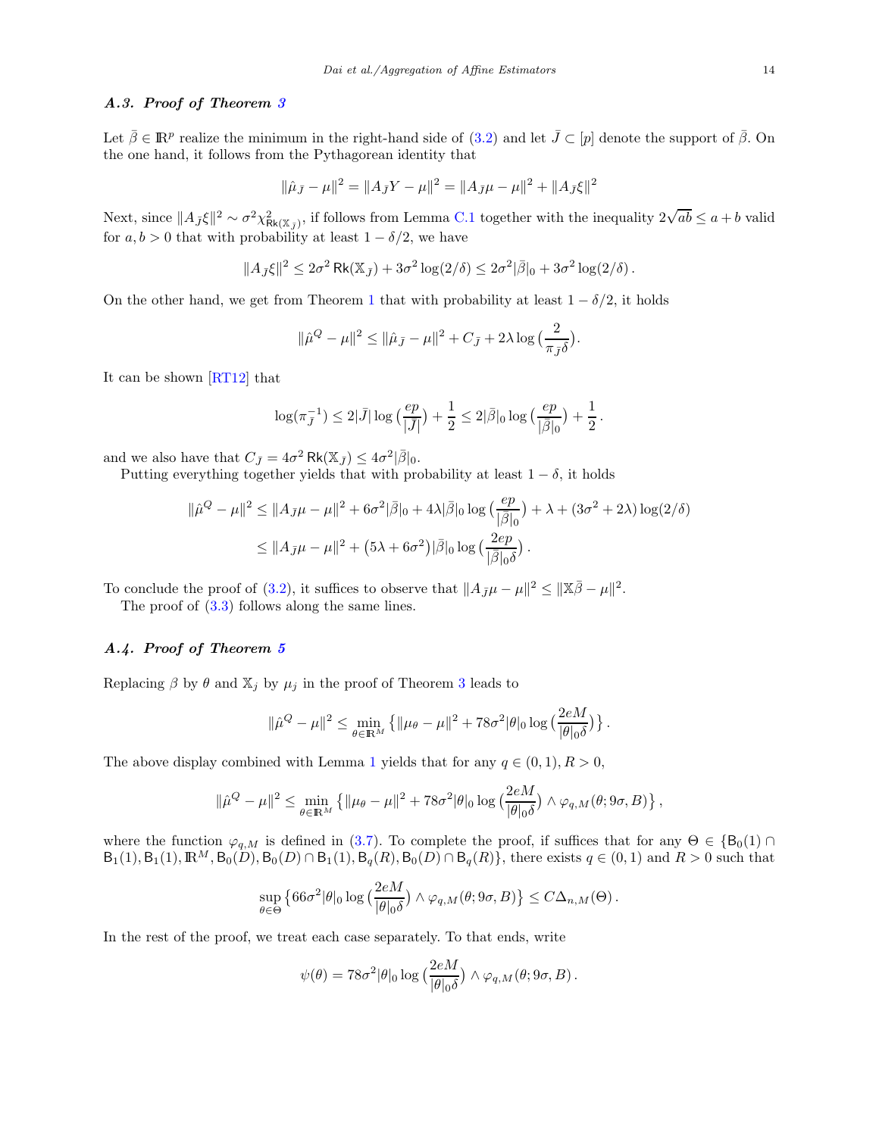# A.3. Proof of Theorem [3](#page-6-0)

Let  $\bar{\beta} \in \mathbb{R}^p$  realize the minimum in the right-hand side of  $(3.2)$  and let  $\bar{J} \subset [p]$  denote the support of  $\bar{\beta}$ . On the one hand, it follows from the Pythagorean identity that

$$
\|\hat{\mu}_{\bar{J}} - \mu\|^2 = \|A_{\bar{J}}Y - \mu\|^2 = \|A_{\bar{J}}\mu - \mu\|^2 + \|A_{\bar{J}}\xi\|^2
$$

Next, since  $||A_{\bar{J}}\xi||^2 \sim \sigma^2 \chi^2_{\text{Rk}(\mathbb{X}_{\bar{J}})}$ , if follows from Lemma [C.1](#page-16-0) together with the inequality  $2\sqrt{ab} \leq a+b$  valid for  $a, b > 0$  that with probability at least  $1 - \delta/2$ , we have

$$
||A_{\bar{J}}\xi||^2 \leq 2\sigma^2 \operatorname{Rk}(\mathbb{X}_{\bar{J}}) + 3\sigma^2 \log(2/\delta) \leq 2\sigma^2 |\bar{\beta}|_0 + 3\sigma^2 \log(2/\delta).
$$

On the other hand, we get from Theorem [1](#page-4-1) that with probability at least  $1 - \delta/2$ , it holds

$$
\|\hat{\mu}^Q - \mu\|^2 \le \|\hat{\mu}_{\bar{J}} - \mu\|^2 + C_{\bar{J}} + 2\lambda \log \left(\frac{2}{\pi_{\bar{J}}\delta}\right).
$$

It can be shown [\[RT12\]](#page-18-5) that

$$
\log(\pi_{\bar{J}}^{-1}) \leq 2|\bar{J}| \log\big(\frac{ep}{|\bar{J}|}\big) + \frac{1}{2} \leq 2|\bar{\beta}|_0 \log\big(\frac{ep}{|\bar{\beta}|_0}\big) + \frac{1}{2} \,.
$$

and we also have that  $C_{\bar{J}} = 4\sigma^2 \operatorname{Rk}(\mathbb{X}_{\bar{J}}) \leq 4\sigma^2 |\bar{\beta}|_0$ .

Putting everything together yields that with probability at least  $1 - \delta$ , it holds

$$
\|\hat{\mu}^{Q} - \mu\|^{2} \le \|A_{\bar{J}}\mu - \mu\|^{2} + 6\sigma^{2}|\bar{\beta}|_{0} + 4\lambda|\bar{\beta}|_{0} \log\left(\frac{ep}{|\bar{\beta}|_{0}}\right) + \lambda + (3\sigma^{2} + 2\lambda)\log(2/\delta)
$$
  

$$
\le \|A_{\bar{J}}\mu - \mu\|^{2} + (5\lambda + 6\sigma^{2})|\bar{\beta}|_{0} \log\left(\frac{2ep}{|\bar{\beta}|_{0}\delta}\right).
$$

To conclude the proof of [\(3.2\)](#page-6-3), it suffices to observe that  $||A_{\bar{J}}\mu - \mu||^2 \le ||\bar{x}\bar{\beta} - \mu||^2$ .

The proof of [\(3.3\)](#page-6-4) follows along the same lines.

# A.4. Proof of Theorem [5](#page-8-3)

Replacing  $\beta$  by  $\theta$  and  $\mathbb{X}_j$  by  $\mu_j$  in the proof of Theorem [3](#page-6-0) leads to

$$
\|\hat{\mu}^Q - \mu\|^2 \le \min_{\theta \in \mathbb{R}^M} \left\{ \|\mu_\theta - \mu\|^2 + 78\sigma^2 |\theta|_0 \log \left( \frac{2eM}{|\theta|_0 \delta} \right) \right\}.
$$

The above display combined with Lemma [1](#page-7-4) yields that for any  $q \in (0,1), R > 0$ ,

$$
\|\hat{\mu}^Q - \mu\|^2 \le \min_{\theta \in \mathbb{R}^M} \left\{ \|\mu_\theta - \mu\|^2 + 78\sigma^2 |\theta|_0 \log \left( \frac{2eM}{|\theta|_0 \delta} \right) \wedge \varphi_{q,M}(\theta; 9\sigma, B) \right\},\
$$

where the function  $\varphi_{q,M}$  is defined in [\(3.7\)](#page-7-1). To complete the proof, if suffices that for any  $\Theta \in \{\mathsf{B}_0(1) \cap \Theta\}$  $B_1(1), B_1(1), \mathbb{R}^M, B_0(D), B_0(D) \cap B_1(1), B_q(R), B_0(D) \cap B_q(R)$ , there exists  $q \in (0, 1)$  and  $R > 0$  such that

$$
\sup_{\theta \in \Theta} \left\{ 66\sigma^2 |\theta|_0 \log \left( \frac{2eM}{|\theta|_0 \delta} \right) \wedge \varphi_{q,M}(\theta; 9\sigma, B) \right\} \leq C\Delta_{n,M}(\Theta).
$$

In the rest of the proof, we treat each case separately. To that ends, write

$$
\psi(\theta) = 78\sigma^2 |\theta|_0 \log \left( \frac{2eM}{|\theta|_0 \delta} \right) \wedge \varphi_{q,M}(\theta; 9\sigma, B).
$$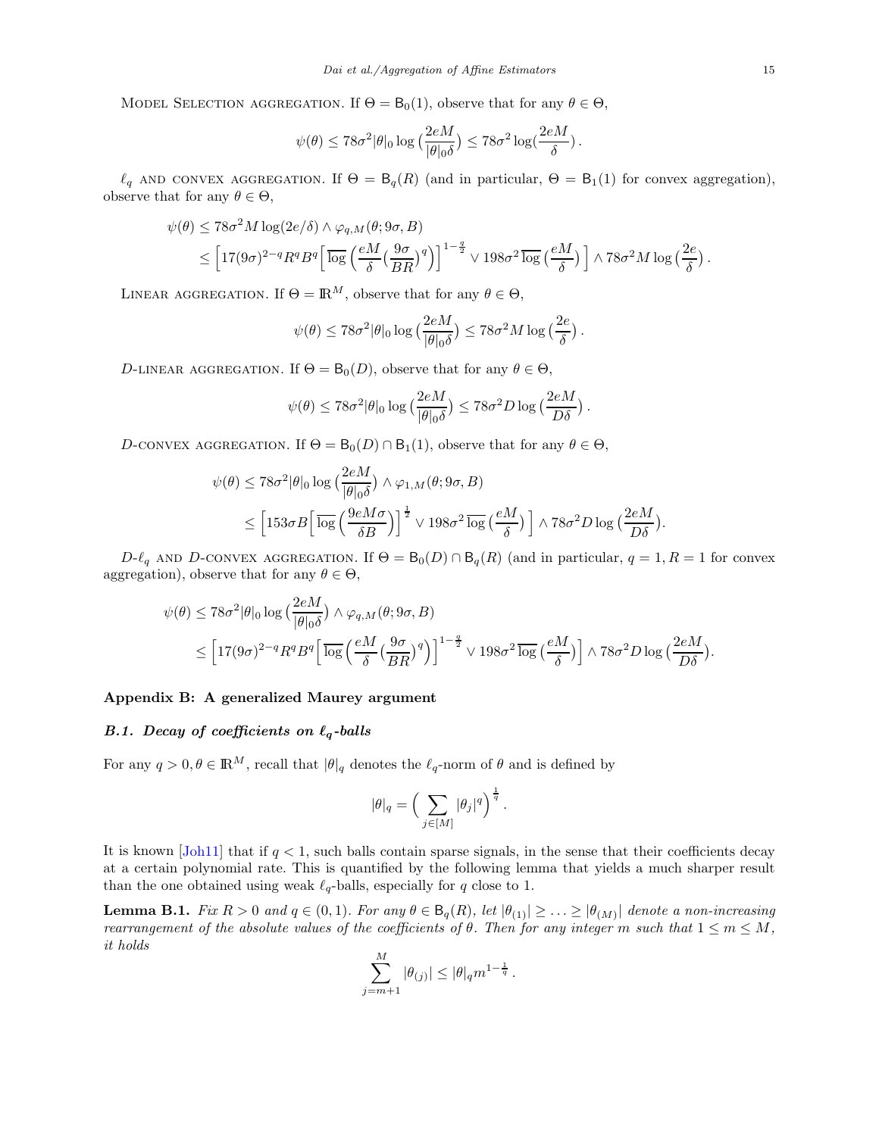MODEL SELECTION AGGREGATION. If  $\Theta = B_0(1)$ , observe that for any  $\theta \in \Theta$ ,

$$
\psi(\theta) \leq 78 \sigma^2 |\theta|_0 \log\big(\frac{2eM}{|\theta|_0 \delta}\big) \leq 78 \sigma^2 \log(\frac{2eM}{\delta})\,.
$$

 $\ell_q$  AND CONVEX AGGREGATION. If  $\Theta = \mathsf{B}_q(R)$  (and in particular,  $\Theta = \mathsf{B}_1(1)$  for convex aggregation), observe that for any  $\theta \in \Theta$ ,

$$
\psi(\theta) \le 78\sigma^2 M \log(2e/\delta) \wedge \varphi_{q,M}(\theta; 9\sigma, B)
$$
  
\$\le \left[17(9\sigma)^{2-q}R^qB^q\left[\overline{\log}\left(\frac{eM}{\delta}\left(\frac{9\sigma}{BR}\right)^q\right)\right]^{1-\frac{q}{2}} \vee 198\sigma^2\overline{\log}\left(\frac{eM}{\delta}\right)\right] \wedge 78\sigma^2M \log\left(\frac{2e}{\delta}\right).

LINEAR AGGREGATION. If  $\Theta = \mathbb{R}^M$ , observe that for any  $\theta \in \Theta$ ,

$$
\psi(\theta) \le 78\sigma^2 |\theta|_0 \log\left(\frac{2eM}{|\theta|_0 \delta}\right) \le 78\sigma^2 M \log\left(\frac{2e}{\delta}\right).
$$

D-LINEAR AGGREGATION. If  $\Theta = \mathsf{B}_{0}(D)$ , observe that for any  $\theta \in \Theta$ ,

$$
\psi(\theta) \le 78\sigma^2 |\theta|_0 \log\left(\frac{2eM}{|\theta|_0 \delta}\right) \le 78\sigma^2 D \log\left(\frac{2eM}{D\delta}\right).
$$

D-CONVEX AGGREGATION. If  $\Theta = \mathsf{B}_0(D) \cap \mathsf{B}_1(1)$ , observe that for any  $\theta \in \Theta$ ,

$$
\psi(\theta) \le 78\sigma^2 |\theta|_0 \log \left(\frac{2eM}{|\theta|_0 \delta}\right) \wedge \varphi_{1,M}(\theta; 9\sigma, B)
$$
  

$$
\le \left[153\sigma B \left[\overline{\log}\left(\frac{9eM\sigma}{\delta B}\right)\right]^{\frac{1}{2}} \vee 198\sigma^2 \overline{\log}\left(\frac{eM}{\delta}\right)\right] \wedge 78\sigma^2 D \log\left(\frac{2eM}{D\delta}\right).
$$

 $D-\ell_q$  AND D-CONVEX AGGREGATION. If  $\Theta = \mathsf{B}_0(D) \cap \mathsf{B}_q(R)$  (and in particular,  $q = 1, R = 1$  for convex aggregation), observe that for any  $\theta \in \Theta$ ,

$$
\psi(\theta) \le 78\sigma^2 |\theta|_0 \log \left(\frac{2eM}{|\theta|_0 \delta}\right) \wedge \varphi_{q,M}(\theta; 9\sigma, B)
$$
  

$$
\le \left[17(9\sigma)^{2-q} R^q B^q \left[\overline{\log}\left(\frac{eM}{\delta}\left(\frac{9\sigma}{BR}\right)^q\right)\right]^{1-\frac{q}{2}} \vee 198\sigma^2 \overline{\log}\left(\frac{eM}{\delta}\right)\right] \wedge 78\sigma^2 D \log\left(\frac{2eM}{D\delta}\right).
$$

# <span id="page-14-0"></span>Appendix B: A generalized Maurey argument

# B.1. Decay of coefficients on  $\ell_q$ -balls

For any  $q > 0, \theta \in \mathbb{R}^M$ , recall that  $|\theta|_q$  denotes the  $\ell_q$ -norm of  $\theta$  and is defined by

$$
|\theta|_q = \Big(\sum_{j\in[M]} |\theta_j|^q\Big)^{\frac{1}{q}}\,.
$$

It is known  $[John1]$  that if  $q < 1$ , such balls contain sparse signals, in the sense that their coefficients decay at a certain polynomial rate. This is quantified by the following lemma that yields a much sharper result than the one obtained using weak  $\ell_{q}$ -balls, especially for q close to 1.

<span id="page-14-1"></span>**Lemma B.1.** Fix  $R > 0$  and  $q \in (0, 1)$ . For any  $\theta \in \mathsf{B}_q(R)$ , let  $|\theta_{(1)}| \geq \ldots \geq |\theta_{(M)}|$  denote a non-increasing rearrangement of the absolute values of the coefficients of  $\theta$ . Then for any integer m such that  $1 \le m \le M$ , it holds

$$
\sum_{j=m+1}^{M} |\theta_{(j)}| \leq |\theta|_q m^{1-\frac{1}{q}}.
$$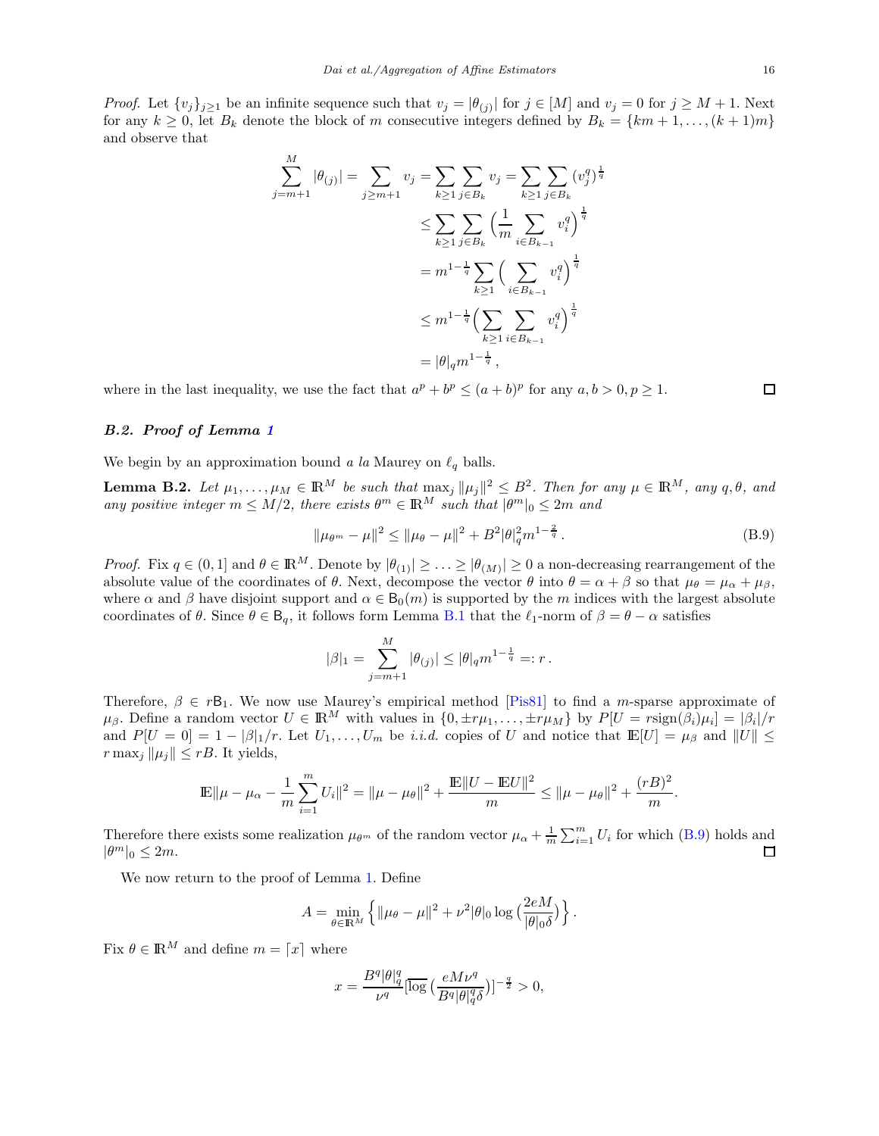*Proof.* Let  $\{v_j\}_{j\geq 1}$  be an infinite sequence such that  $v_j = |\theta_{(j)}|$  for  $j \in [M]$  and  $v_j = 0$  for  $j \geq M + 1$ . Next for any  $k \geq 0$ , let  $B_k$  denote the block of m consecutive integers defined by  $B_k = \{km+1,\ldots,(k+1)m\}$ and observe that

$$
\sum_{j=m+1}^{M} |\theta_{(j)}| = \sum_{j \ge m+1} v_j = \sum_{k \ge 1} \sum_{j \in B_k} v_j = \sum_{k \ge 1} \sum_{j \in B_k} (v_j^q)^{\frac{1}{q}}
$$
  

$$
\le \sum_{k \ge 1} \sum_{j \in B_k} \left(\frac{1}{m} \sum_{i \in B_{k-1}} v_i^q\right)^{\frac{1}{q}}
$$
  

$$
= m^{1-\frac{1}{q}} \sum_{k \ge 1} \left(\sum_{i \in B_{k-1}} v_i^q\right)^{\frac{1}{q}}
$$
  

$$
\le m^{1-\frac{1}{q}} \left(\sum_{k \ge 1} \sum_{i \in B_{k-1}} v_i^q\right)^{\frac{1}{q}}
$$
  

$$
= |\theta|_q m^{1-\frac{1}{q}},
$$

where in the last inequality, we use the fact that  $a^p + b^p \le (a+b)^p$  for any  $a, b > 0, p \ge 1$ .

## B.2. Proof of Lemma [1](#page-7-4)

We begin by an approximation bound a la Maurey on  $\ell_q$  balls.

<span id="page-15-1"></span>**Lemma B.2.** Let  $\mu_1, \ldots, \mu_M \in \mathbb{R}^M$  be such that  $\max_j ||\mu_j||^2 \leq B^2$ . Then for any  $\mu \in \mathbb{R}^M$ , any  $q, \theta$ , and any positive integer  $m \leq M/2$ , there exists  $\theta^m \in \mathbb{R}^M$  such that  $|\theta^m|_0 \leq 2m$  and

<span id="page-15-0"></span>
$$
\|\mu_{\theta^m} - \mu\|^2 \le \|\mu_{\theta} - \mu\|^2 + B^2 |\theta|_q^2 m^{1 - \frac{2}{q}}.
$$
\n(B.9)

*Proof.* Fix  $q \in (0,1]$  and  $\theta \in \mathbb{R}^M$ . Denote by  $|\theta_{(1)}| \geq \ldots \geq |\theta_{(M)}| \geq 0$  a non-decreasing rearrangement of the absolute value of the coordinates of  $\theta$ . Next, decompose the vector  $\theta$  into  $\theta = \alpha + \beta$  so that  $\mu_{\theta} = \mu_{\alpha} + \mu_{\beta}$ , where  $\alpha$  and  $\beta$  have disjoint support and  $\alpha \in B_0(m)$  is supported by the m indices with the largest absolute coordinates of  $\theta$ . Since  $\theta \in \mathsf{B}_q$ , it follows form Lemma [B.1](#page-14-1) that the  $\ell_1$ -norm of  $\beta = \theta - \alpha$  satisfies

$$
|\beta|_1 = \sum_{j=m+1}^M |\theta_{(j)}| \le |\theta|_q m^{1-\frac{1}{q}} =: r.
$$

Therefore,  $\beta \in r\mathsf{B}_1$ . We now use Maurey's empirical method [\[Pis81\]](#page-18-15) to find a m-sparse approximate of  $\mu_{\beta}$ . Define a random vector  $U \in \mathbb{R}^{M}$  with values in  $\{0, \pm r\mu_1, \dots, \pm r\mu_M\}$  by  $P[U = r\text{sign}(\beta_i)\mu_i] = |\beta_i|/r$ and  $P[U = 0] = 1 - |\beta|_1/r$ . Let  $U_1, \ldots, U_m$  be *i.i.d.* copies of U and notice that  $\mathbb{E}[U] = \mu_\beta$  and  $||U|| \le$  $r \max_i ||\mu_i|| \leq rB$ . It yields,

$$
\mathbb{E}\|\mu-\mu_\alpha-\frac{1}{m}\sum_{i=1}^mU_i\|^2=\|\mu-\mu_\theta\|^2+\frac{\mathbb{E}\|U-\mathbb{E} U\|^2}{m}\leq \|\mu-\mu_\theta\|^2+\frac{(rB)^2}{m}.
$$

Therefore there exists some realization  $\mu_{\theta^m}$  of the random vector  $\mu_{\alpha} + \frac{1}{m} \sum_{i=1}^m U_i$  for which [\(B.9\)](#page-15-0) holds and  $|\theta^m|_0 \leq 2m$ .

We now return to the proof of Lemma [1.](#page-7-4) Define

$$
A = \min_{\theta \in \mathbb{R}^M} \left\{ \|\mu_\theta - \mu\|^2 + \nu^2 |\theta|_0 \log \left( \frac{2eM}{|\theta|_0 \delta} \right) \right\}.
$$

Fix  $\theta \in \mathbb{R}^M$  and define  $m = \lceil x \rceil$  where

$$
x = \frac{B^q |\theta|_q^q}{\nu^q} \left[ \overline{\log} \left( \frac{e M \nu^q}{B^q |\theta|_q^q \delta} \right) \right]^{-\frac{q}{2}} > 0,
$$

□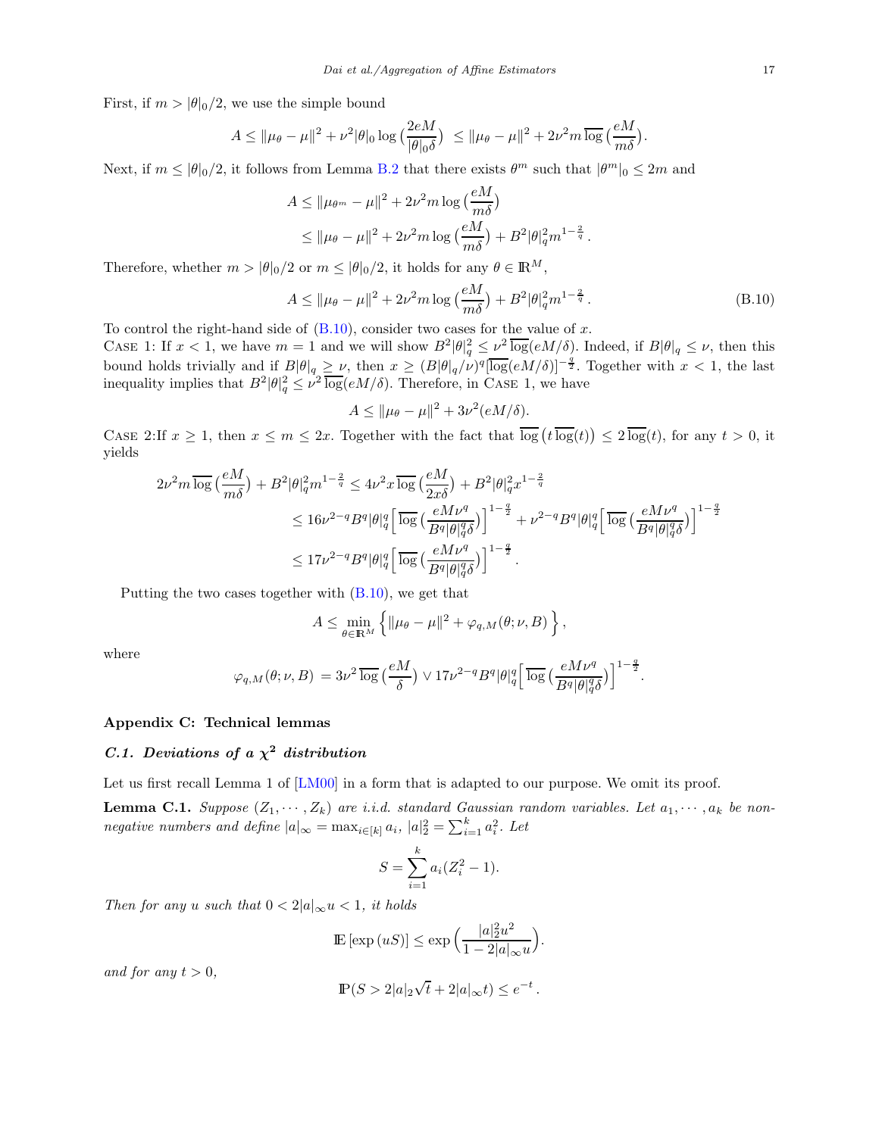First, if  $m > |\theta|_0/2$ , we use the simple bound

$$
A \leq \|\mu_{\theta} - \mu\|^2 + \nu^2 |\theta|_0 \log \big(\frac{2eM}{|\theta|_0 \delta}\big) \leq \|\mu_{\theta} - \mu\|^2 + 2\nu^2 m \overline{\log} \big(\frac{eM}{m \delta}\big).
$$

Next, if  $m \le |\theta|_0/2$ , it follows from Lemma [B.2](#page-15-1) that there exists  $\theta^m$  such that  $|\theta^m|_0 \le 2m$  and

$$
A \le ||\mu_{\theta^m} - \mu||^2 + 2\nu^2 m \log\left(\frac{eM}{m\delta}\right)
$$
  
\$\le ||\mu\_{\theta} - \mu||^2 + 2\nu^2 m \log\left(\frac{eM}{m\delta}\right) + B^2 |\theta|\_q^2 m^{1-\frac{2}{q}}\$.

Therefore, whether  $m > |\theta|_0/2$  or  $m \leq |\theta|_0/2$ , it holds for any  $\theta \in \mathbb{R}^M$ ,

<span id="page-16-1"></span>
$$
A \le ||\mu_{\theta} - \mu||^2 + 2\nu^2 m \log\left(\frac{eM}{m\delta}\right) + B^2 |\theta|_q^2 m^{1-\frac{2}{q}}.
$$
 (B.10)

To control the right-hand side of  $(B.10)$ , consider two cases for the value of x.

CASE 1: If  $x < 1$ , we have  $m = 1$  and we will show  $B^2 |\theta|_q^2 \leq \nu^2 \overline{\log}(eM/\delta)$ . Indeed, if  $B|\theta|_q \leq \nu$ , then this bound holds trivially and if  $B|\theta|_q \geq \nu$ , then  $x \geq (B|\theta|_q/\nu)^q [\log(eM/\delta)]^{-\frac{q}{2}}$ . Together with  $x < 1$ , the last inequality implies that  $B^2|\theta|^2_q \leq \nu^2 \overline{\log}(eM/\delta)$ . Therefore, in CASE 1, we have

$$
A \le ||\mu_{\theta} - \mu||^2 + 3\nu^2 (eM/\delta).
$$

CASE 2:If  $x \geq 1$ , then  $x \leq m \leq 2x$ . Together with the fact that  $\overline{\log}(t) \overline{\log}(t) \leq 2 \overline{\log}(t)$ , for any  $t > 0$ , it yields

$$
2\nu^2 m \overline{\log}\left(\frac{eM}{m\delta}\right) + B^2 |\theta|_q^2 m^{1-\frac{2}{q}} \le 4\nu^2 x \overline{\log}\left(\frac{eM}{2x\delta}\right) + B^2 |\theta|_q^2 x^{1-\frac{2}{q}}
$$
  

$$
\le 16\nu^{2-q} B^q |\theta|_q^q \left[ \overline{\log}\left(\frac{eM\nu^q}{B^q |\theta|_q^q \delta}\right) \right]^{1-\frac{q}{2}} + \nu^{2-q} B^q |\theta|_q^q \left[ \overline{\log}\left(\frac{eM\nu^q}{B^q |\theta|_q^q \delta}\right) \right]^{1-\frac{q}{2}}
$$
  

$$
\le 17\nu^{2-q} B^q |\theta|_q^q \left[ \overline{\log}\left(\frac{eM\nu^q}{B^q |\theta|_q^q \delta}\right) \right]^{1-\frac{q}{2}}.
$$

Putting the two cases together with  $(B.10)$ , we get that

$$
A \leq \min_{\theta \in \mathbb{R}^M} \left\{ \|\mu_\theta - \mu\|^2 + \varphi_{q,M}(\theta; \nu, B) \right\},\,
$$

where

$$
\varphi_{q,M}(\theta;\nu,B)\,=\,3\nu^2\,\overline{\log}\,\big(\frac{eM}{\delta}\big)\vee 17\nu^{2-q}B^q|\theta|_q^q\Big[\,\overline{\log}\,\big(\frac{eM\nu^q}{B^q|\theta|_q^q\delta}\big)\Big]^{1-\frac{q}{2}}.
$$

# Appendix C: Technical lemmas

# C.1. Deviations of a  $\chi^2$  distribution

Let us first recall Lemma 1 of  $[LM00]$  in a form that is adapted to our purpose. We omit its proof.

<span id="page-16-0"></span>**Lemma C.1.** Suppose  $(Z_1, \dots, Z_k)$  are i.i.d. standard Gaussian random variables. Let  $a_1, \dots, a_k$  be nonnegative numbers and define  $|a|_{\infty} = \max_{i \in [k]} a_i$ ,  $|a|_2^2 = \sum_{i=1}^k a_i^2$ . Let

$$
S = \sum_{i=1}^{k} a_i (Z_i^2 - 1).
$$

Then for any u such that  $0 < 2|a|_{\infty} u < 1$ , it holds

$$
\mathbb{E}\left[\exp\left(uS\right)\right] \leq \exp\left(\frac{|a|_2^2 u^2}{1 - 2|a|_\infty u}\right).
$$

and for any  $t > 0$ ,

$$
\mathbb{P}(S > 2|a|_2\sqrt{t} + 2|a|_\infty t) \le e^{-t}
$$

.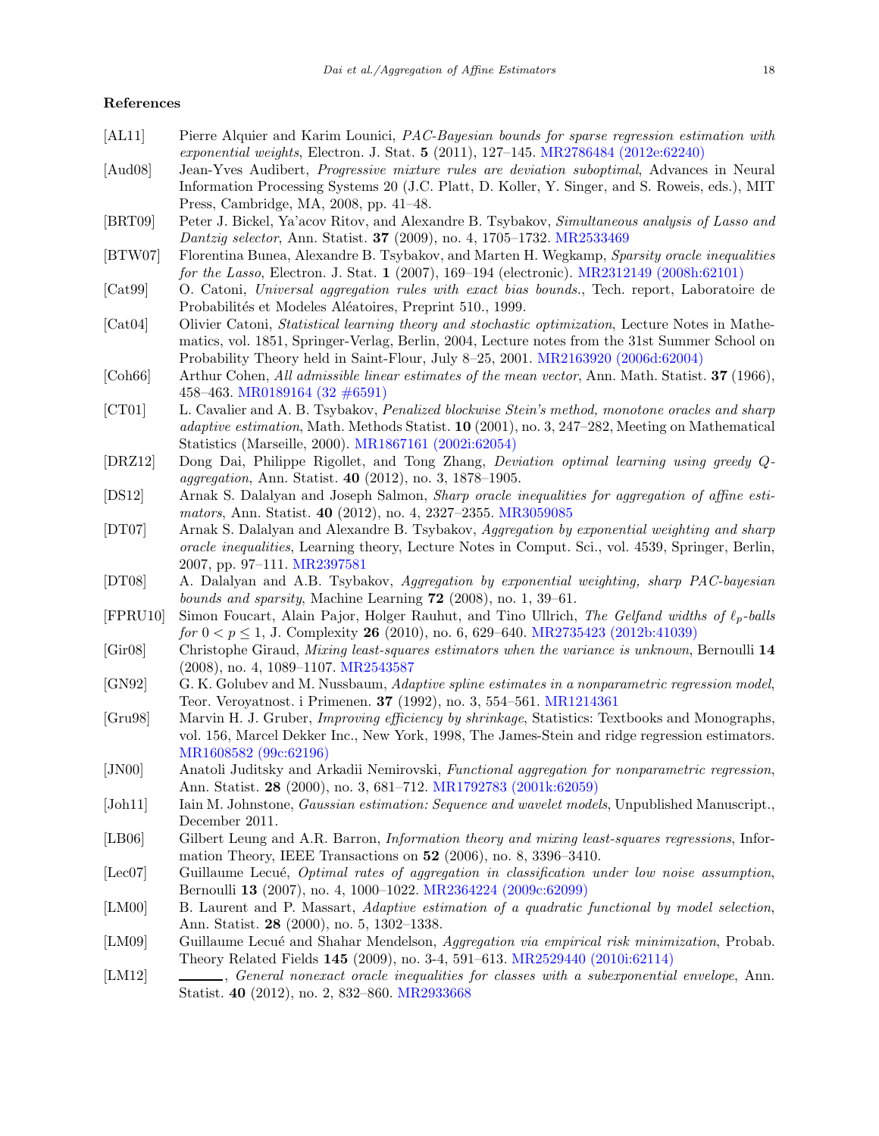#### References

- <span id="page-17-17"></span>[AL11] Pierre Alquier and Karim Lounici, *PAC-Bayesian bounds for sparse regression estimation with* exponential weights, Electron. J. Stat. 5 (2011), 127–145. [MR2786484 \(2012e:62240\)](http://www.ams.org/mathscinet-getitem?mr=2786484)
- <span id="page-17-10"></span>[Aud08] Jean-Yves Audibert, Progressive mixture rules are deviation suboptimal, Advances in Neural Information Processing Systems 20 (J.C. Platt, D. Koller, Y. Singer, and S. Roweis, eds.), MIT Press, Cambridge, MA, 2008, pp. 41–48.
- <span id="page-17-18"></span>[BRT09] Peter J. Bickel, Ya'acov Ritov, and Alexandre B. Tsybakov, Simultaneous analysis of Lasso and Dantzig selector, Ann. Statist. 37 (2009), no. 4, 1705–1732. [MR2533469](http://www.ams.org/mathscinet-getitem?mr=MR2533469)
- <span id="page-17-21"></span>[BTW07] Florentina Bunea, Alexandre B. Tsybakov, and Marten H. Wegkamp, Sparsity oracle inequalities for the Lasso, Electron. J. Stat. 1 (2007), 169–194 (electronic). [MR2312149 \(2008h:62101\)](http://www.ams.org/mathscinet-getitem?mr=MR2312149)
- <span id="page-17-9"></span>[Cat99] O. Catoni, Universal aggregation rules with exact bias bounds., Tech. report, Laboratoire de Probabilités et Modeles Aléatoires, Preprint 510., 1999.
- <span id="page-17-16"></span>[Cat04] Olivier Catoni, Statistical learning theory and stochastic optimization, Lecture Notes in Mathematics, vol. 1851, Springer-Verlag, Berlin, 2004, Lecture notes from the 31st Summer School on Probability Theory held in Saint-Flour, July 8–25, 2001. [MR2163920 \(2006d:62004\)](http://www.ams.org/mathscinet-getitem?mr=2163920)
- <span id="page-17-12"></span>[Coh66] Arthur Cohen, All admissible linear estimates of the mean vector, Ann. Math. Statist. 37 (1966), 458–463. [MR0189164 \(32 #6591\)](http://www.ams.org/mathscinet-getitem?mr=0189164)
- <span id="page-17-13"></span>[CT01] L. Cavalier and A. B. Tsybakov, *Penalized blockwise Stein's method, monotone oracles and sharp* adaptive estimation, Math. Methods Statist. 10 (2001), no. 3, 247–282, Meeting on Mathematical Statistics (Marseille, 2000). [MR1867161 \(2002i:62054\)](http://www.ams.org/mathscinet-getitem?mr=1867161)
- <span id="page-17-1"></span>[DRZ12] Dong Dai, Philippe Rigollet, and Tong Zhang, Deviation optimal learning using greedy Qaggregation, Ann. Statist. 40 (2012), no. 3, 1878–1905.
- <span id="page-17-0"></span>[DS12] Arnak S. Dalalyan and Joseph Salmon, Sharp oracle inequalities for aggregation of affine estimators, Ann. Statist. 40 (2012), no. 4, 2327–2355. [MR3059085](http://www.ams.org/mathscinet-getitem?mr=3059085)
- <span id="page-17-7"></span>[DT07] Arnak S. Dalalyan and Alexandre B. Tsybakov, Aggregation by exponential weighting and sharp oracle inequalities, Learning theory, Lecture Notes in Comput. Sci., vol. 4539, Springer, Berlin, 2007, pp. 97–111. [MR2397581](http://www.ams.org/mathscinet-getitem?mr=MR2397581)
- <span id="page-17-8"></span>[DT08] A. Dalalyan and A.B. Tsybakov, Aggregation by exponential weighting, sharp PAC-bayesian bounds and sparsity, Machine Learning 72 (2008), no. 1, 39–61.
- <span id="page-17-20"></span>[FPRU10] Simon Foucart, Alain Pajor, Holger Rauhut, and Tino Ullrich, The Gelfand widths of  $\ell_p$ -balls for  $0 < p \le 1$ , J. Complexity 26 (2010), no. 6, 629–640. [MR2735423 \(2012b:41039\)](http://www.ams.org/mathscinet-getitem?mr=2735423)
- <span id="page-17-19"></span>[Gir08] Christophe Giraud, Mixing least-squares estimators when the variance is unknown, Bernoulli 14 (2008), no. 4, 1089–1107. [MR2543587](http://www.ams.org/mathscinet-getitem?mr=MR2543587)
- <span id="page-17-14"></span>[GN92] G. K. Golubev and M. Nussbaum, Adaptive spline estimates in a nonparametric regression model, Teor. Veroyatnost. i Primenen. 37 (1992), no. 3, 554–561. [MR1214361](http://www.ams.org/mathscinet-getitem?mr=1214361)
- <span id="page-17-2"></span>[Gru98] Marvin H. J. Gruber, *Improving efficiency by shrinkage*, Statistics: Textbooks and Monographs, vol. 156, Marcel Dekker Inc., New York, 1998, The James-Stein and ridge regression estimators. [MR1608582 \(99c:62196\)](http://www.ams.org/mathscinet-getitem?mr=1608582)
- <span id="page-17-4"></span>[JN00] Anatoli Juditsky and Arkadii Nemirovski, Functional aggregation for nonparametric regression, Ann. Statist. 28 (2000), no. 3, 681–712. [MR1792783 \(2001k:62059\)](http://www.ams.org/mathscinet-getitem?mr=MR1792783)
- <span id="page-17-3"></span>[Joh11] Iain M. Johnstone, *Gaussian estimation: Sequence and wavelet models*, Unpublished Manuscript., December 2011.
- <span id="page-17-6"></span>[LB06] Gilbert Leung and A.R. Barron, Information theory and mixing least-squares regressions, Information Theory, IEEE Transactions on 52 (2006), no. 8, 3396–3410.
- <span id="page-17-5"></span>[Lec07] Guillaume Lecué, *Optimal rates of aggregation in classification under low noise assumption*, Bernoulli 13 (2007), no. 4, 1000–1022. [MR2364224 \(2009c:62099\)](http://www.ams.org/mathscinet-getitem?mr=MR2364224)
- <span id="page-17-22"></span>[LM00] B. Laurent and P. Massart, Adaptive estimation of a quadratic functional by model selection, Ann. Statist. 28 (2000), no. 5, 1302–1338.
- <span id="page-17-11"></span>[LM09] Guillaume Lecué and Shahar Mendelson, *Aggregation via empirical risk minimization*, Probab. Theory Related Fields 145 (2009), no. 3-4, 591–613. [MR2529440 \(2010i:62114\)](http://www.ams.org/mathscinet-getitem?mr=2529440)
- <span id="page-17-15"></span>[LM12] , General nonexact oracle inequalities for classes with a subexponential envelope, Ann. Statist. 40 (2012), no. 2, 832–860. [MR2933668](http://www.ams.org/mathscinet-getitem?mr=2933668)